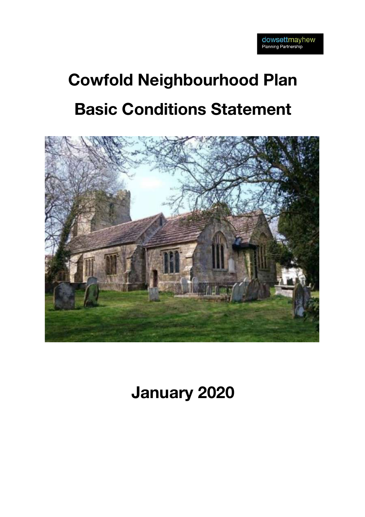# **Cowfold Neighbourhood Plan Basic Conditions Statement**



## **January 2020**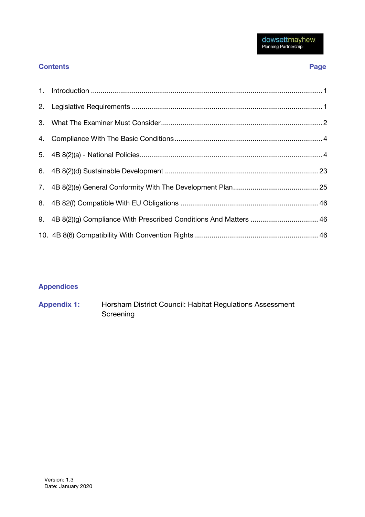### **Contents Page**

| 9. 4B 8(2)(g) Compliance With Prescribed Conditions And Matters  46 |
|---------------------------------------------------------------------|
|                                                                     |

## **Appendices**

**Appendix 1:** Horsham District Council: Habitat Regulations Assessment Screening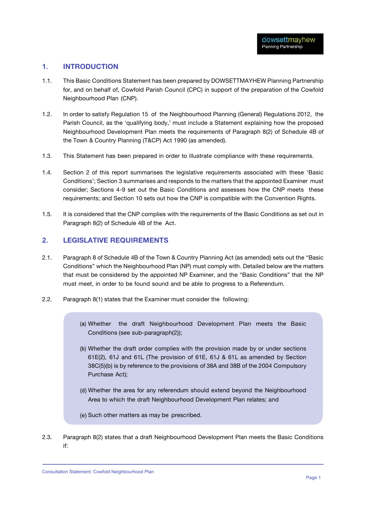#### **1. INTRODUCTION**

- 1.1. This Basic Conditions Statement has been prepared by DOWSETTMAYHEW Planning Partnership for, and on behalf of, Cowfold Parish Council (CPC) in support of the preparation of the Cowfold Neighbourhood Plan (CNP).
- 1.2. In order to satisfy Regulation 15 of the Neighbourhood Planning (General) Regulations 2012, the Parish Council, as the 'qualifying body,' must include a Statement explaining how the proposed Neighbourhood Development Plan meets the requirements of Paragraph 8(2) of Schedule 4B of the Town & Country Planning (T&CP) Act 1990 (as amended).
- 1.3. This Statement has been prepared in order to illustrate compliance with these requirements.
- 1.4. Section 2 of this report summarises the legislative requirements associated with these 'Basic Conditions'; Section 3 summarises and responds to the matters that the appointed Examiner must consider; Sections 4-9 set out the Basic Conditions and assesses how the CNP meets these requirements; and Section 10 sets out how the CNP is compatible with the Convention Rights.
- 1.5. It is considered that the CNP complies with the requirements of the Basic Conditions as set out in Paragraph 8(2) of Schedule 4B of the Act.

#### **2. LEGISLATIVE REQUIREMENTS**

- 2.1. Paragraph 8 of Schedule 4B of the Town & Country Planning Act (as amended) sets out the "Basic Conditions" which the Neighbourhood Plan (NP) must comply with. Detailed below are the matters that must be considered by the appointed NP Examiner, and the "Basic Conditions" that the NP must meet, in order to be found sound and be able to progress to a Referendum.
- 2.2. Paragraph 8(1) states that the Examiner must consider the following:
	- Whether the draft Neighbourhood Development Plan meets the Basic Conditions (see sub-paragraph(2));
	- Whether the draft order complies with the provision made by or under sections 61E(2), 61J and 61L (The provision of 61E, 61J & 61L as amended by Section 38C(5)(b) is by reference to the provisions of 38A and 38B of the 2004 Compulsory Purchase Act);
	- Whether the area for any referendum should extend beyond the Neighbourhood Area to which the draft Neighbourhood Development Plan relates; and
	- (e) Such other matters as may be prescribed.
- 2.3. Paragraph 8(2) states that a draft Neighbourhood Development Plan meets the Basic Conditions if:

Consultation Statement: Cowfold Neighbourhood Plan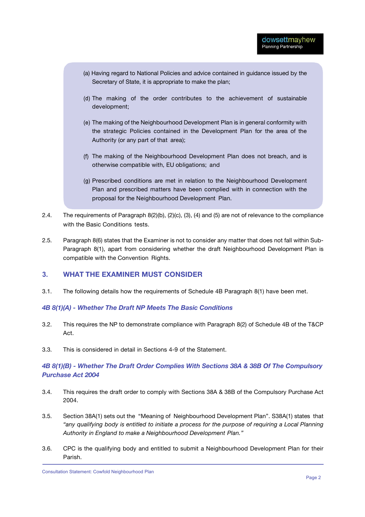- (a) Having regard to National Policies and advice contained in guidance issued by the Secretary of State, it is appropriate to make the plan;
- The making of the order contributes to the achievement of sustainable development;
- The making of the Neighbourhood Development Plan is in general conformity with the strategic Policies contained in the Development Plan for the area of the Authority (or any part of that area);
- The making of the Neighbourhood Development Plan does not breach, and is otherwise compatible with, EU obligations; and
- Prescribed conditions are met in relation to the Neighbourhood Development Plan and prescribed matters have been complied with in connection with the proposal for the Neighbourhood Development Plan.
- 2.4. The requirements of Paragraph 8(2)(b), (2)(c), (3), (4) and (5) are not of relevance to the compliance with the Basic Conditions tests.
- 2.5. Paragraph 8(6) states that the Examiner is not to consider any matter that does not fall within Sub-Paragraph 8(1), apart from considering whether the draft Neighbourhood Development Plan is compatible with the Convention Rights.

#### **3. WHAT THE EXAMINER MUST CONSIDER**

3.1. The following details how the requirements of Schedule 4B Paragraph 8(1) have been met.

#### *4B 8(1)(A) - Whether The Draft NP Meets The Basic Conditions*

- 3.2. This requires the NP to demonstrate compliance with Paragraph 8(2) of Schedule 4B of the T&CP Act.
- 3.3. This is considered in detail in Sections 4-9 of the Statement.

#### *4B 8(1)(B) - Whether The Draft Order Complies With Sections 38A & 38B Of The Compulsory Purchase Act 2004*

- 3.4. This requires the draft order to comply with Sections 38A & 38B of the Compulsory Purchase Act 2004.
- 3.5. Section 38A(1) sets out the "Meaning of Neighbourhood Development Plan". S38A(1) states that *"any qualifying body is entitled to initiate a process for the purpose of requiring a Local Planning Authority in England to make a Neighbourhood Development Plan."*
- 3.6. CPC is the qualifying body and entitled to submit a Neighbourhood Development Plan for their Parish.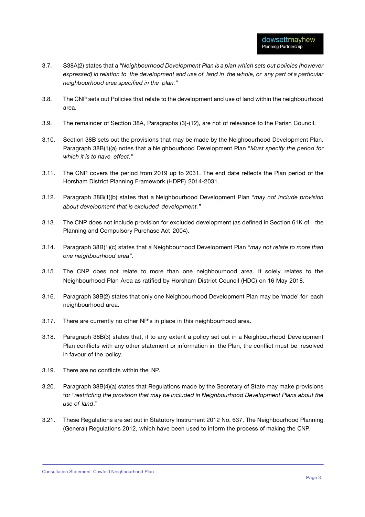- 3.7. S38A(2) states that a *"Neighbourhood Development Plan is a plan which sets out policies (however*  expressed) in relation to the development and use of land in the whole, or any part of a particular *neighbourhood area specified in the plan."*
- 3.8. The CNP sets out Policies that relate to the development and use of land within the neighbourhood area.
- 3.9. The remainder of Section 38A, Paragraphs (3)-(12), are not of relevance to the Parish Council.
- 3.10. Section 38B sets out the provisions that may be made by the Neighbourhood Development Plan. Paragraph 38B(1)(a) notes that a Neighbourhood Development Plan "*Must specify the period for which it is to have effect."*
- 3.11. The CNP covers the period from 2019 up to 2031. The end date reflects the Plan period of the Horsham District Planning Framework (HDPF) 2014-2031.
- 3.12. Paragraph 38B(1)(b) states that a Neighbourhood Development Plan "*may not include provision about development that is excluded development."*
- 3.13. The CNP does not include provision for excluded development (as defined in Section 61K of the Planning and Compulsory Purchase Act 2004).
- 3.14. Paragraph 38B(1)(c) states that a Neighbourhood Development Plan "*may not relate to more than one neighbourhood area".*
- 3.15. The CNP does not relate to more than one neighbourhood area. It solely relates to the Neighbourhood Plan Area as ratified by Horsham District Council (HDC) on 16 May 2018.
- 3.16. Paragraph 38B(2) states that only one Neighbourhood Development Plan may be 'made' for each neighbourhood area.
- 3.17. There are currently no other NP's in place in this neighbourhood area.
- 3.18. Paragraph 38B(3) states that, if to any extent a policy set out in a Neighbourhood Development Plan conflicts with any other statement or information in the Plan, the conflict must be resolved in favour of the policy.
- 3.19. There are no conflicts within the NP.
- 3.20. Paragraph 38B(4)(a) states that Regulations made by the Secretary of State may make provisions for *"restricting the provision that may be included in Neighbourhood Development Plans about the use of land*."
- 3.21. These Regulations are set out in Statutory Instrument 2012 No. 637, The Neighbourhood Planning (General) Regulations 2012, which have been used to inform the process of making the CNP.

Consultation Statement: Cowfold Neighbourhood Plan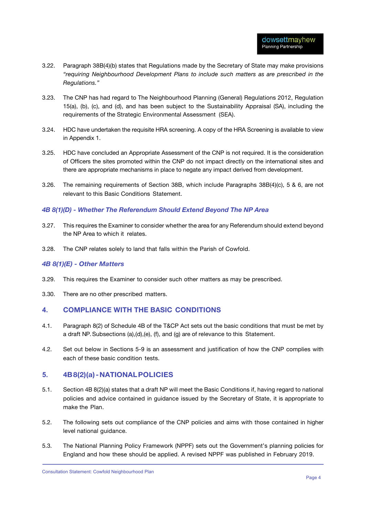- 3.22. Paragraph 38B(4)(b) states that Regulations made by the Secretary of State may make provisions *"requiring Neighbourhood Development Plans to include such matters as are prescribed in the Regulations."*
- 3.23. The CNP has had regard to The Neighbourhood Planning (General) Regulations 2012, Regulation 15(a), (b), (c), and (d), and has been subject to the Sustainability Appraisal (SA), including the requirements of the Strategic Environmental Assessment (SEA).
- 3.24. HDC have undertaken the requisite HRA screening. A copy of the HRA Screening is available to view in Appendix 1.
- 3.25. HDC have concluded an Appropriate Assessment of the CNP is not required. It is the consideration of Officers the sites promoted within the CNP do not impact directly on the international sites and there are appropriate mechanisms in place to negate any impact derived from development.
- 3.26. The remaining requirements of Section 38B, which include Paragraphs 38B(4)(c), 5 & 6, are not relevant to this Basic Conditions Statement.

#### *4B 8(1)(D) - Whether The Referendum Should Extend Beyond The NP Area*

- 3.27. This requires the Examiner to consider whether the area for any Referendum should extend beyond the NP Area to which it relates.
- 3.28. The CNP relates solely to land that falls within the Parish of Cowfold.

#### *4B 8(1)(E) - Other Matters*

- 3.29. This requires the Examiner to consider such other matters as may be prescribed.
- 3.30. There are no other prescribed matters.

#### **4. COMPLIANCE WITH THE BASIC CONDITIONS**

- 4.1. Paragraph 8(2) of Schedule 4B of the T&CP Act sets out the basic conditions that must be met by a draft NP. Subsections (a),(d),(e), (f), and (g) are of relevance to this Statement.
- 4.2. Set out below in Sections 5-9 is an assessment and justification of how the CNP complies with each of these basic condition tests.

#### **5. 4B8(2)(a) -NATIONALPOLICIES**

- 5.1. Section 4B 8(2)(a) states that a draft NP will meet the Basic Conditions if, having regard to national policies and advice contained in guidance issued by the Secretary of State, it is appropriate to make the Plan.
- 5.2. The following sets out compliance of the CNP policies and aims with those contained in higher level national guidance.
- 5.3. The National Planning Policy Framework (NPPF) sets out the Government's planning policies for England and how these should be applied. A revised NPPF was published in February 2019.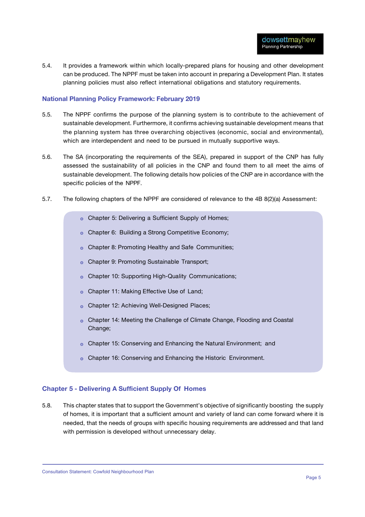5.4. It provides a framework within which locally-prepared plans for housing and other development can be produced. The NPPF must be taken into account in preparing a Development Plan. It states planning policies must also reflect international obligations and statutory requirements.

#### **National Planning Policy Framework: February 2019**

- 5.5. The NPPF confirms the purpose of the planning system is to contribute to the achievement of sustainable development. Furthermore, it confirms achieving sustainable development means that the planning system has three overarching objectives (economic, social and environmental), which are interdependent and need to be pursued in mutually supportive ways.
- 5.6. The SA (incorporating the requirements of the SEA), prepared in support of the CNP has fully assessed the sustainability of all policies in the CNP and found them to all meet the aims of sustainable development. The following details how policies of the CNP are in accordance with the specific policies of the NPPF.
- 5.7. The following chapters of the NPPF are considered of relevance to the 4B 8(2)(a) Assessment:
	- o Chapter 5: Delivering a Sufficient Supply of Homes;
	- Chapter 6: Building a Strong Competitive Economy;  $\ddot{\circ}$
	- Chapter 8: Promoting Healthy and Safe Communities;  $\ddot{\circ}$
	- Chapter 9: Promoting Sustainable Transport;  $\ddot{\Omega}$
	- Chapter 10: Supporting High-Quality Communications;  $\ddot{\circ}$
	- Chapter 11: Making Effective Use of Land;  $\odot$
	- o Chapter 12: Achieving Well-Designed Places;
	- Chapter 14: Meeting the Challenge of Climate Change, Flooding and Coastal Change:
	- o Chapter 15: Conserving and Enhancing the Natural Environment; and
	- o Chapter 16: Conserving and Enhancing the Historic Environment.

#### **Chapter 5 - Delivering A Sufficient Supply Of Homes**

5.8. This chapter states that to support the Government's objective of significantly boosting the supply of homes, it is important that a sufficient amount and variety of land can come forward where it is needed, that the needs of groups with specific housing requirements are addressed and that land with permission is developed without unnecessary delay.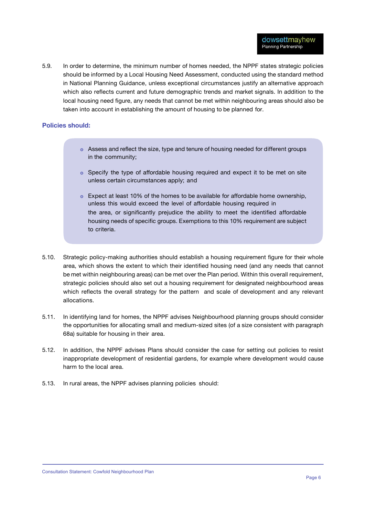5.9. In order to determine, the minimum number of homes needed, the NPPF states strategic policies should be informed by a Local Housing Need Assessment, conducted using the standard method in National Planning Guidance, unless exceptional circumstances justify an alternative approach which also reflects current and future demographic trends and market signals. In addition to the local housing need figure, any needs that cannot be met within neighbouring areas should also be taken into account in establishing the amount of housing to be planned for.

#### **Policies should:**

- Assess and reflect the size, type and tenure of housing needed for different groups in the community;
- Specify the type of affordable housing required and expect it to be met on site unless certain circumstances apply; and
- $\circ$  Expect at least 10% of the homes to be available for affordable home ownership, unless this would exceed the level of affordable housing required in the area, or significantly prejudice the ability to meet the identified affordable housing needs of specific groups. Exemptions to this 10% requirement are subject to criteria.
- 5.10. Strategic policy-making authorities should establish a housing requirement figure for their whole area, which shows the extent to which their identified housing need (and any needs that cannot be met within neighbouring areas) can be met over the Plan period. Within this overall requirement, strategic policies should also set out a housing requirement for designated neighbourhood areas which reflects the overall strategy for the pattern and scale of development and any relevant allocations.
- 5.11. In identifying land for homes, the NPPF advises Neighbourhood planning groups should consider the opportunities for allocating small and medium-sized sites (of a size consistent with paragraph 68a) suitable for housing in their area.
- 5.12. In addition, the NPPF advises Plans should consider the case for setting out policies to resist inappropriate development of residential gardens, for example where development would cause harm to the local area.
- 5.13. In rural areas, the NPPF advises planning policies should: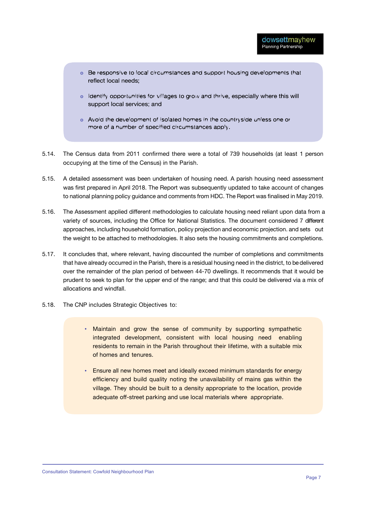- . Be responsive to local circumstances and support housing developments that reflect local needs:
- o Identify opportunities for villages to grow and thrive, especially where this will support local services; and
- o Avoid the development of isolated homes in the countryside unless one or more of a number of specified circumstances apply.
- 5.14. The Census data from 2011 confirmed there were a total of 739 households (at least 1 person occupying at the time of the Census) in the Parish.
- 5.15. A detailed assessment was been undertaken of housing need. A parish housing need assessment was first prepared in April 2018. The Report was subsequently updated to take account of changes to national planning policy guidance and comments from HDC. The Report was finalised in May 2019.
- 5.16. The Assessment applied different methodologies to calculate housing need reliant upon data from a variety of sources, including the Office for National Statistics. The document considered 7 different approaches, including household formation, policy projection and economic projection. and sets out the weight to be attached to methodologies. It also sets the housing commitments and completions.
- 5.17. It concludes that, where relevant, having discounted the number of completions and commitments that have already occurred in the Parish, there is a residual housing need in the district, to be delivered over the remainder of the plan period of between 44-70 dwellings. It recommends that it would be prudent to seek to plan for the upper end of the range; and that this could be delivered via a mix of allocations and windfall.
- 5.18. The CNP includes Strategic Objectives to:
	- Maintain and grow the sense of community by supporting sympathetic integrated development, consistent with local housing need enabling residents to remain in the Parish throughout their lifetime, with a suitable mix of homes and tenures.
	- **Ensure all new homes meet and ideally exceed minimum standards for energy** efficiency and build quality noting the unavailability of mains gas within the village. They should be built to a density appropriate to the location, provide adequate off-street parking and use local materials where appropriate.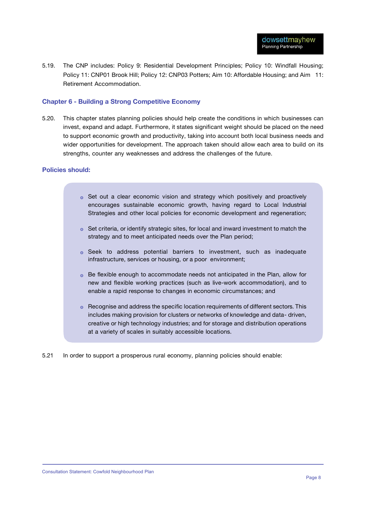5.19. The CNP includes: Policy 9: Residential Development Principles; Policy 10: Windfall Housing; Policy 11: CNP01 Brook Hill; Policy 12: CNP03 Potters; Aim 10: Affordable Housing; and Aim 11: Retirement Accommodation.

#### **Chapter 6 - Building a Strong Competitive Economy**

5.20. This chapter states planning policies should help create the conditions in which businesses can invest, expand and adapt. Furthermore, it states significant weight should be placed on the need to support economic growth and productivity, taking into account both local business needs and wider opportunities for development. The approach taken should allow each area to build on its strengths, counter any weaknesses and address the challenges of the future.

#### **Policies should:**

- $\circ$  Set out a clear economic vision and strategy which positively and proactively encourages sustainable economic growth, having regard to Local Industrial Strategies and other local policies for economic development and regeneration;
- $\circ$  Set criteria, or identify strategic sites, for local and inward investment to match the strategy and to meet anticipated needs over the Plan period;
- Seek to address potential barriers to investment, such as inadequate infrastructure, services or housing, or a poor environment;
- Be flexible enough to accommodate needs not anticipated in the Plan, allow for new and flexible working practices (such as live-work accommodation), and to enable a rapid response to changes in economic circumstances; and
- $\circ$  Recognise and address the specific location requirements of different sectors. This includes making provision for clusters or networks of knowledge and data- driven, creative or high technology industries; and for storage and distribution operations at a variety of scales in suitably accessible locations.
- 5.21 In order to support a prosperous rural economy, planning policies should enable: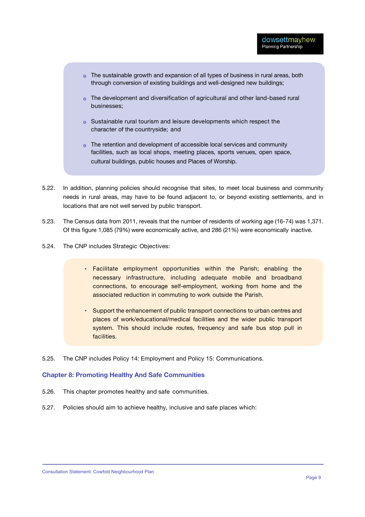- The sustainable growth and expansion of all types of business in rural areas, both through conversion of existing buildings and well-designed new buildings;
- The development and diversification of agricultural and other land-based rural businesses;
- Sustainable rural tourism and leisure developments which respect the character of the countryside; and
- The retention and development of accessible local services and community facilities, such as local shops, meeting places, sports venues, open space, cultural buildings, public houses and Places of Worship.
- 5.22. In addition, planning policies should recognise that sites, to meet local business and community needs in rural areas, may have to be found adjacent to, or beyond existing settlements, and in locations that are not well served by public transport.
- 5.23. The Census data from 2011, reveals that the number of residents of working age (16-74) was 1,371. Of this figure 1,085 (79%) were economically active, and 286 (21%) were economically inactive.
- 5.24. The CNP includes Strategic Objectives:
	- Facilitate employment opportunities within the Parish; enabling the necessary infrastructure, including adequate mobile and broadband connections, to encourage self-employment, working from home and the associated reduction in commuting to work outside the Parish.
	- Support the enhancement of public transport connections to urban centres and places of work/educational/medical facilities and the wider public transport system. This should include routes, frequency and safe bus stop pull in facilities.
- 5.25. The CNP includes Policy 14: Employment and Policy 15: Communications.

#### **Chapter 8: Promoting Healthy And Safe Communities**

- 5.26. This chapter promotes healthy and safe communities.
- 5.27. Policies should aim to achieve healthy, inclusive and safe places which: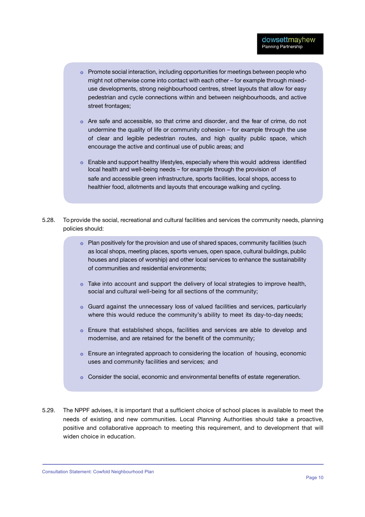- ◎ Promote social interaction, including opportunities for meetings between people who might not otherwise come into contact with each other – for example through mixeduse developments, strong neighbourhood centres, street layouts that allow for easy pedestrian and cycle connections within and between neighbourhoods, and active street frontages;
- $\circ$  Are safe and accessible, so that crime and disorder, and the fear of crime, do not undermine the quality of life or community cohesion – for example through the use of clear and legible pedestrian routes, and high quality public space, which encourage the active and continual use of public areas; and
- Enable and support healthy lifestyles, especially where this would address identified local health and well-being needs – for example through the provision of safe and accessible green infrastructure, sports facilities, local shops, access to healthier food, allotments and layouts that encourage walking and cycling.
- 5.28. To provide the social, recreational and cultural facilities and services the community needs, planning policies should:
	- ◎ Plan positively for the provision and use of shared spaces, community facilities (such as local shops, meeting places, sports venues, open space, cultural buildings, public houses and places of worship) and other local services to enhance the sustainability of communities and residential environments;
	- Take into account and support the delivery of local strategies to improve health, social and cultural well-being for all sections of the community;
	- Guard against the unnecessary loss of valued facilities and services, particularly where this would reduce the community's ability to meet its day-to-day needs;
	- Ensure that established shops, facilities and services are able to develop and modernise, and are retained for the benefit of the community;
	- Ensure an integrated approach to considering the location of housing, economic uses and community facilities and services; and
	- ⊙ Consider the social, economic and environmental benefits of estate regeneration.
- 5.29. The NPPF advises, it is important that a sufficient choice of school places is available to meet the needs of existing and new communities. Local Planning Authorities should take a proactive, positive and collaborative approach to meeting this requirement, and to development that will widen choice in education.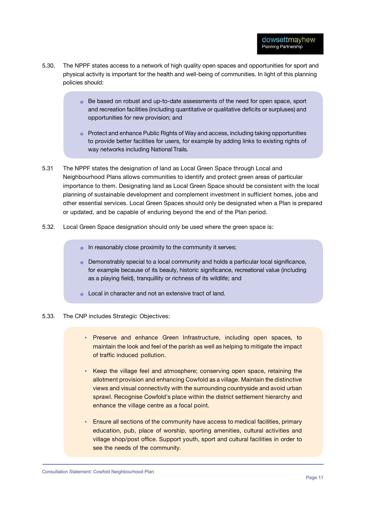- 5.30. The NPPF states access to a network of high quality open spaces and opportunities for sport and physical activity is important for the health and well-being of communities. In light of this planning policies should:
	- Be based on robust and up-to-date assessments of the need for open space, sport and recreation facilities (including quantitative or qualitative deficits or surpluses) and opportunities for new provision; and
	- $\circ$  Protect and enhance Public Rights of Way and access, including taking opportunities to provide better facilities for users, for example by adding links to existing rights of way networks including National Trails.
- 5.31 The NPPF states the designation of land as Local Green Space through Local and Neighbourhood Plans allows communities to identify and protect green areas of particular importance to them. Designating land as Local Green Space should be consistent with the local planning of sustainable development and complement investment in sufficient homes, jobs and other essential services. Local Green Spaces should only be designated when a Plan is prepared or updated, and be capable of enduring beyond the end of the Plan period.
- 5.32. Local Green Space designation should only be used where the green space is:
	- o In reasonably close proximity to the community it serves;
	- $\circ$  Demonstrably special to a local community and holds a particular local significance, for example because of its beauty, historic significance, recreational value (including as a playing field), tranquillity or richness of its wildlife; and
	- Local in character and not an extensive tract of land.
- 5.33. The CNP includes Strategic Objectives:
	- Preserve and enhance Green Infrastructure, including open spaces, to maintain the look and feel of the parish as well as helping to mitigate the impact of traffic induced pollution.
	- Keep the village feel and atmosphere; conserving open space, retaining the allotment provision and enhancing Cowfold as a village. Maintain the distinctive views and visual connectivity with the surrounding countryside and avoid urban sprawl. Recognise Cowfold's place within the district settlement hierarchy and enhance the village centre as a focal point.
	- Ensure all sections of the community have access to medical facilities, primary education, pub, place of worship, sporting amenities, cultural activities and village shop/post office. Support youth, sport and cultural facilities in order to see the needs of the community.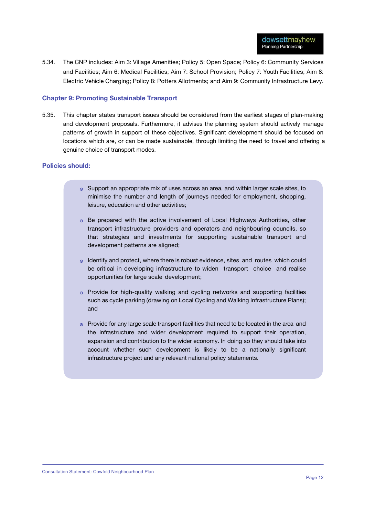5.34. The CNP includes: Aim 3: Village Amenities; Policy 5: Open Space; Policy 6: Community Services and Facilities; Aim 6: Medical Facilities; Aim 7: School Provision; Policy 7: Youth Facilities; Aim 8: Electric Vehicle Charging; Policy 8: Potters Allotments; and Aim 9: Community Infrastructure Levy.

#### **Chapter 9: Promoting Sustainable Transport**

5.35. This chapter states transport issues should be considered from the earliest stages of plan-making and development proposals. Furthermore, it advises the planning system should actively manage patterns of growth in support of these objectives. Significant development should be focused on locations which are, or can be made sustainable, through limiting the need to travel and offering a genuine choice of transport modes.

#### **Policies should:**

- ๏ Support an appropriate mix of uses across an area, and within larger scale sites, to minimise the number and length of journeys needed for employment, shopping, leisure, education and other activities;
- ๏ Be prepared with the active involvement of Local Highways Authorities, other transport infrastructure providers and operators and neighbouring councils, so that strategies and investments for supporting sustainable transport and development patterns are aligned;
- ๏ Identify and protect, where there is robust evidence, sites and routes which could be critical in developing infrastructure to widen transport choice and realise opportunities for large scale development;
- ๏ Provide for high-quality walking and cycling networks and supporting facilities such as cycle parking (drawing on Local Cycling and Walking Infrastructure Plans); and
- o Provide for any large scale transport facilities that need to be located in the area and the infrastructure and wider development required to support their operation, expansion and contribution to the wider economy. In doing so they should take into account whether such development is likely to be a nationally significant infrastructure project and any relevant national policy statements.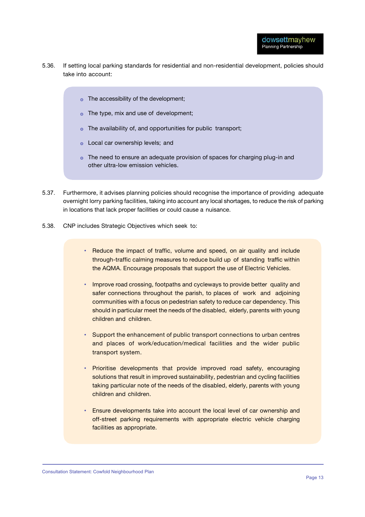- 5.36. If setting local parking standards for residential and non-residential development, policies should take into account:
	- The accessibility of the development;
	- $\circ$  The type, mix and use of development;
	- $\circ$  The availability of, and opportunities for public transport;
	- **o** Local car ownership levels; and
	- o The need to ensure an adequate provision of spaces for charging plug-in and other ultra-low emission vehicles.
- 5.37. Furthermore, it advises planning policies should recognise the importance of providing adequate overnight lorry parking facilities, taking into account any local shortages, to reduce the risk of parking in locations that lack proper facilities or could cause a nuisance.
- 5.38. CNP includes Strategic Objectives which seek to:
	- Reduce the impact of traffic, volume and speed, on air quality and include through-traffic calming measures to reduce build up of standing traffic within the AQMA. Encourage proposals that support the use of Electric Vehicles.
	- Improve road crossing, footpaths and cycleways to provide better quality and safer connections throughout the parish, to places of work and adjoining communities with a focus on pedestrian safety to reduce car dependency. This should in particular meet the needs of the disabled, elderly, parents with young children and children.
	- Support the enhancement of public transport connections to urban centres and places of work/education/medical facilities and the wider public transport system.
	- Prioritise developments that provide improved road safety, encouraging solutions that result in improved sustainability, pedestrian and cycling facilities taking particular note of the needs of the disabled, elderly, parents with young children and children.
	- Ensure developments take into account the local level of car ownership and off-street parking requirements with appropriate electric vehicle charging facilities as appropriate.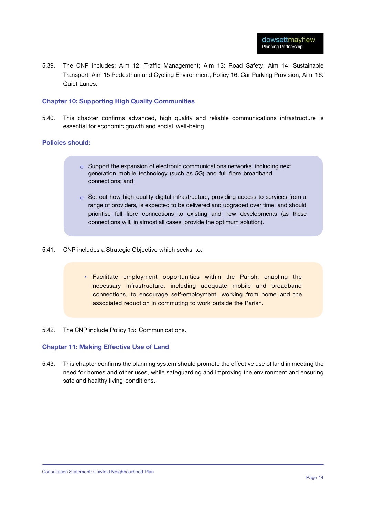5.39. The CNP includes: Aim 12: Traffic Management; Aim 13: Road Safety; Aim 14: Sustainable Transport; Aim 15 Pedestrian and Cycling Environment; Policy 16: Car Parking Provision; Aim 16: Quiet Lanes.

#### **Chapter 10: Supporting High Quality Communities**

5.40. This chapter confirms advanced, high quality and reliable communications infrastructure is essential for economic growth and social well-being.

#### **Policies should:**

- Support the expansion of electronic communications networks, including next generation mobile technology (such as 5G) and full fibre broadband connections; and
- o Set out how high-quality digital infrastructure, providing access to services from a range of providers, is expected to be delivered and upgraded over time; and should prioritise full fibre connections to existing and new developments (as these connections will, in almost all cases, provide the optimum solution).
- 5.41. CNP includes a Strategic Objective which seeks to:
	- Facilitate employment opportunities within the Parish; enabling the necessary infrastructure, including adequate mobile and broadband connections, to encourage self-employment, working from home and the associated reduction in commuting to work outside the Parish.
- 5.42. The CNP include Policy 15: Communications.

#### **Chapter 11: Making Effective Use of Land**

5.43. This chapter confirms the planning system should promote the effective use of land in meeting the need for homes and other uses, while safeguarding and improving the environment and ensuring safe and healthy living conditions.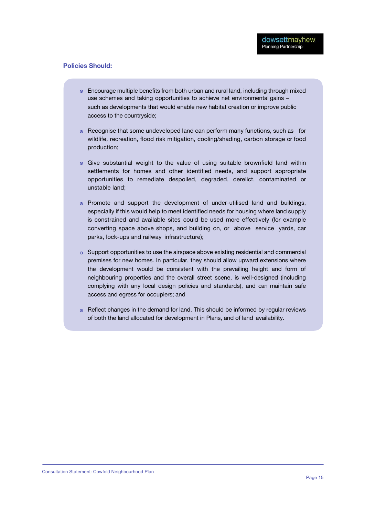#### **Policies Should:**

- ๏ Encourage multiple benefits from both urban and rural land, including through mixed use schemes and taking opportunities to achieve net environmental gains – such as developments that would enable new habitat creation or improve public access to the countryside;
- ๏ Recognise that some undeveloped land can perform many functions, such as for wildlife, recreation, flood risk mitigation, cooling/shading, carbon storage or food production;
- ๏ Give substantial weight to the value of using suitable brownfield land within settlements for homes and other identified needs, and support appropriate opportunities to remediate despoiled, degraded, derelict, contaminated or unstable land;
- ๏ Promote and support the development of under-utilised land and buildings, especially if this would help to meet identified needs for housing where land supply is constrained and available sites could be used more effectively (for example converting space above shops, and building on, or above service yards, car parks, lock-ups and railway infrastructure);
- o Support opportunities to use the airspace above existing residential and commercial premises for new homes. In particular, they should allow upward extensions where the development would be consistent with the prevailing height and form of neighbouring properties and the overall street scene, is well-designed (including complying with any local design policies and standards), and can maintain safe access and egress for occupiers; and
- ๏ Reflect changes in the demand for land. This should be informed by regular reviews of both the land allocated for development in Plans, and of land availability.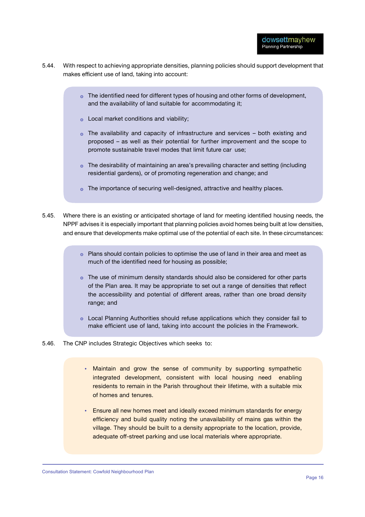- 5.44. With respect to achieving appropriate densities, planning policies should support development that makes efficient use of land, taking into account:
	- The identified need for different types of housing and other forms of development, and the availability of land suitable for accommodating it;
	- o Local market conditions and viability;
	- $\circ$  The availability and capacity of infrastructure and services both existing and proposed – as well as their potential for further improvement and the scope to promote sustainable travel modes that limit future car use;
	- The desirability of maintaining an area's prevailing character and setting (including residential gardens), or of promoting regeneration and change; and
	- o The importance of securing well-designed, attractive and healthy places.
- 5.45. Where there is an existing or anticipated shortage of land for meeting identified housing needs, the NPPF advises it is especially important that planning policies avoid homes being built at low densities, and ensure that developments make optimal use of the potential of each site. In these circumstances:
	- Plans should contain policies to optimise the use of land in their area and meet as much of the identified need for housing as possible;
	- The use of minimum density standards should also be considered for other parts of the Plan area. It may be appropriate to set out a range of densities that reflect the accessibility and potential of different areas, rather than one broad density range; and
	- Local Planning Authorities should refuse applications which they consider fail to make efficient use of land, taking into account the policies in the Framework.
- 5.46. The CNP includes Strategic Objectives which seeks to:
	- Maintain and grow the sense of community by supporting sympathetic integrated development, consistent with local housing need enabling residents to remain in the Parish throughout their lifetime, with a suitable mix of homes and tenures.
	- Ensure all new homes meet and ideally exceed minimum standards for energy efficiency and build quality noting the unavailability of mains gas within the village. They should be built to a density appropriate to the location, provide, adequate off-street parking and use local materials where appropriate.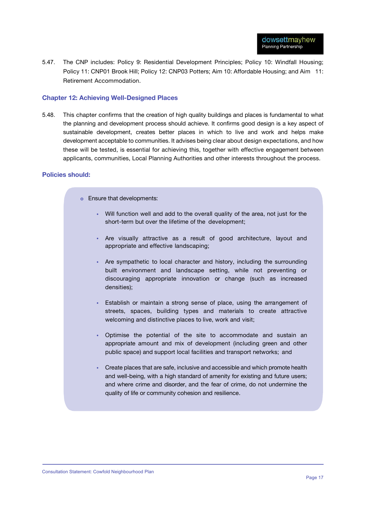5.47. The CNP includes: Policy 9: Residential Development Principles; Policy 10: Windfall Housing; Policy 11: CNP01 Brook Hill; Policy 12: CNP03 Potters; Aim 10: Affordable Housing; and Aim 11: Retirement Accommodation.

#### **Chapter 12: Achieving Well-Designed Places**

5.48. This chapter confirms that the creation of high quality buildings and places is fundamental to what the planning and development process should achieve. It confirms good design is a key aspect of sustainable development, creates better places in which to live and work and helps make development acceptable to communities. It advises being clear about design expectations, and how these will be tested, is essential for achieving this, together with effective engagement between applicants, communities, Local Planning Authorities and other interests throughout the process.

#### **Policies should:**

- **Ensure that developments:** 
	- Will function well and add to the overall quality of the area, not just for the short-term but over the lifetime of the development;
	- Are visually attractive as a result of good architecture, layout and appropriate and effective landscaping;
	- Are sympathetic to local character and history, including the surrounding built environment and landscape setting, while not preventing or discouraging appropriate innovation or change (such as increased densities);
	- Establish or maintain a strong sense of place, using the arrangement of streets, spaces, building types and materials to create attractive welcoming and distinctive places to live, work and visit;
	- Optimise the potential of the site to accommodate and sustain an appropriate amount and mix of development (including green and other public space) and support local facilities and transport networks; and
	- Create places that are safe, inclusive and accessible and which promote health and well-being, with a high standard of amenity for existing and future users; and where crime and disorder, and the fear of crime, do not undermine the quality of life or community cohesion and resilience.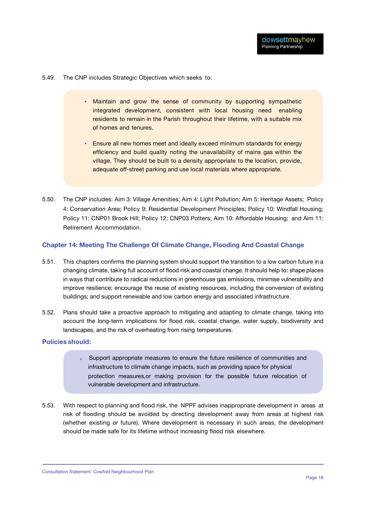5.49. The CNP includes Strategic Objectives which seeks to:

- Maintain and grow the sense of community by supporting sympathetic integrated development, consistent with local housing need enabling residents to remain in the Parish throughout their lifetime, with a suitable mix of homes and tenures.
- Ensure all new homes meet and ideally exceed minimum standards for energy efficiency and build quality noting the unavailability of mains gas within the village. They should be built to a density appropriate to the location, provide, adequate off-street parking and use local materials where appropriate.
- 5.50. The CNP includes: Aim 3: Village Amenities; Aim 4: Light Pollution; Aim 5: Heritage Assets; Policy 4: Conservation Area; Policy 9: Residential Development Principles; Policy 10: Windfall Housing; Policy 11: CNP01 Brook Hill; Policy 12: CNP03 Potters; Aim 10: Affordable Housing; and Aim 11: Retirement Accommodation.

#### **Chapter 14: Meeting The Challenge Of Climate Change, Flooding And Coastal Change**

- 5.51. This chapters confirms the planning system should support the transition to a low carbon future in a changing climate, taking full account of flood risk and coastal change. It should help to: shape places in ways that contribute to radical reductions in greenhouse gas emissions, minimise vulnerability and improve resilience; encourage the reuse of existing resources, including the conversion of existing buildings; and support renewable and low carbon energy and associated infrastructure.
- 5.52. Plans should take a proactive approach to mitigating and adapting to climate change, taking into account the long-term implications for flood risk, coastal change, water supply, biodiversity and landscapes, and the risk of overheating from rising temperatures.

#### **Policies should:**

- Support appropriate measures to ensure the future resilience of communities and infrastructure to climate change impacts, such as providing space for physical protection measures,or making provision for the possible future relocation of vulnerable development and infrastructure.
- 5.53. With respect to planning and flood risk, the NPPF advises inappropriate development in areas at risk of flooding should be avoided by directing development away from areas at highest risk (whether existing or future). Where development is necessary in such areas, the development should be made safe for its lifetime without increasing flood risk elsewhere.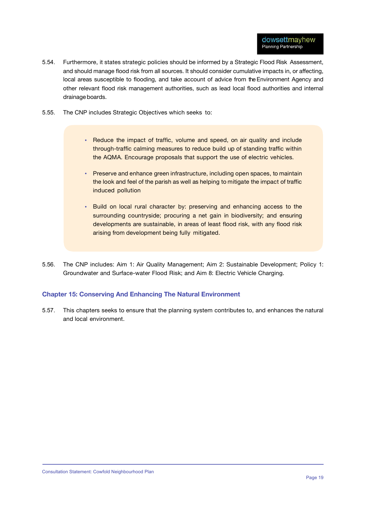- 5.54. Furthermore, it states strategic policies should be informed by a Strategic Flood Risk Assessment, and should manage flood risk from all sources. It should consider cumulative impacts in, or affecting, local areas susceptible to flooding, and take account of advice from the Environment Agency and other relevant flood risk management authorities, such as lead local flood authorities and internal drainage boards.
- 5.55. The CNP includes Strategic Objectives which seeks to:
	- Reduce the impact of traffic, volume and speed, on air quality and include through-traffic calming measures to reduce build up of standing traffic within the AQMA. Encourage proposals that support the use of electric vehicles.
	- Preserve and enhance green infrastructure, including open spaces, to maintain the look and feel of the parish as well as helping to mitigate the impact of traffic induced pollution
	- Build on local rural character by: preserving and enhancing access to the surrounding countryside; procuring a net gain in biodiversity; and ensuring developments are sustainable, in areas of least flood risk, with any flood risk arising from development being fully mitigated.
- 5.56. The CNP includes: Aim 1: Air Quality Management; Aim 2: Sustainable Development; Policy 1: Groundwater and Surface-water Flood Risk; and Aim 8: Electric Vehicle Charging.

#### **Chapter 15: Conserving And Enhancing The Natural Environment**

5.57. This chapters seeks to ensure that the planning system contributes to, and enhances the natural and local environment.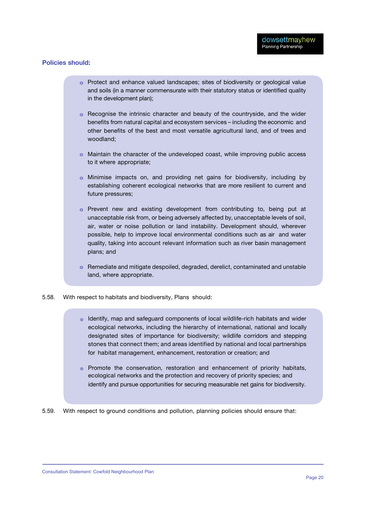#### **Policies should:**

- ๏ Protect and enhance valued landscapes; sites of biodiversity or geological value and soils (in a manner commensurate with their statutory status or identified quality in the development plan);
- ๏ Recognise the intrinsic character and beauty of the countryside, and the wider benefits from natural capital and ecosystem services – including the economic and other benefits of the best and most versatile agricultural land, and of trees and woodland;
- ๏ Maintain the character of the undeveloped coast, while improving public access to it where appropriate;
- ๏ Minimise impacts on, and providing net gains for biodiversity, including by establishing coherent ecological networks that are more resilient to current and future pressures;
- ๏ Prevent new and existing development from contributing to, being put at unacceptable risk from, or being adversely affected by, unacceptable levels of soil, air, water or noise pollution or land instability. Development should, wherever possible, help to improve local environmental conditions such as air and water quality, taking into account relevant information such as river basin management plans; and
- ๏ Remediate and mitigate despoiled, degraded, derelict, contaminated and unstable land, where appropriate.
- 5.58. With respect to habitats and biodiversity, Plans should:
	- o Identify, map and safeguard components of local wildlife-rich habitats and wider ecological networks, including the hierarchy of international, national and locally designated sites of importance for biodiversity; wildlife corridors and stepping stones that connect them; and areas identified by national and local partnerships for habitat management, enhancement, restoration or creation; and
	- $\circ$  Promote the conservation, restoration and enhancement of priority habitats, ecological networks and the protection and recovery of priority species; and identify and pursue opportunities for securing measurable net gains for biodiversity.

5.59. With respect to ground conditions and pollution, planning policies should ensure that: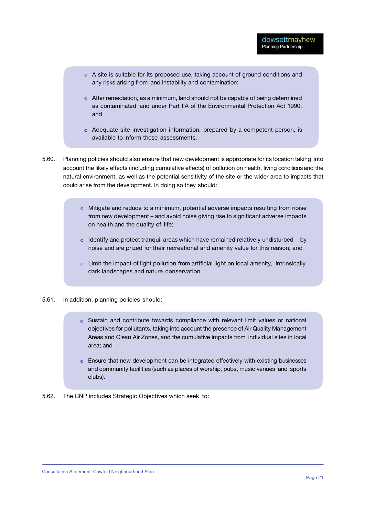- A site is suitable for its proposed use, taking account of ground conditions and any risks arising from land instability and contamination;
- After remediation, as a minimum, land should not be capable of being determined as contaminated land under Part IIA of the Environmental Protection Act 1990; and
- Adequate site investigation information, prepared by a competent person, is available to inform these assessments.
- 5.60. Planning policies should also ensure that new development is appropriate for its location taking into account the likely effects (including cumulative effects) of pollution on health, living conditions and the natural environment, as well as the potential sensitivity of the site or the wider area to impacts that could arise from the development. In doing so they should:
	- $\circ$  Mitigate and reduce to a minimum, potential adverse impacts resulting from noise from new development – and avoid noise giving rise to significant adverse impacts on health and the quality of life;
	- o Identify and protect tranquil areas which have remained relatively undisturbed by noise and are prized for their recreational and amenity value for this reason; and
	- Limit the impact of light pollution from artificial light on local amenity, intrinsically dark landscapes and nature conservation.
- 5.61. In addition, planning policies should:
	- $\circ$  Sustain and contribute towards compliance with relevant limit values or national objectives for pollutants, taking into account the presence of Air Quality Management Areas and Clean Air Zones, and the cumulative impacts from individual sites in local area; and
	- Ensure that new development can be integrated effectively with existing businesses and community facilities (such as places of worship, pubs, music venues and sports clubs).
- 5.62. The CNP includes Strategic Objectives which seek to: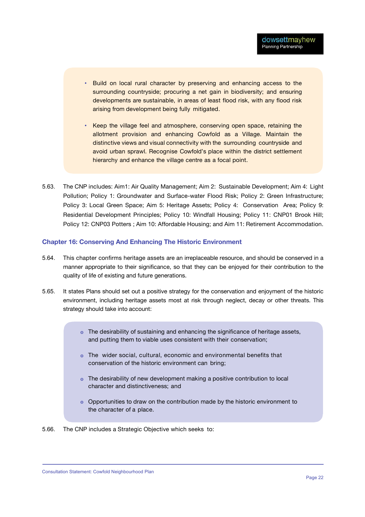- Build on local rural character by preserving and enhancing access to the surrounding countryside; procuring a net gain in biodiversity; and ensuring developments are sustainable, in areas of least flood risk, with any flood risk arising from development being fully mitigated.
- **Keep the village feel and atmosphere, conserving open space, retaining the** allotment provision and enhancing Cowfold as a Village. Maintain the distinctive views and visual connectivity with the surrounding countryside and avoid urban sprawl. Recognise Cowfold's place within the district settlement hierarchy and enhance the village centre as a focal point.
- 5.63. The CNP includes: Aim1: Air Quality Management; Aim 2: Sustainable Development; Aim 4: Light Pollution; Policy 1: Groundwater and Surface-water Flood Risk; Policy 2: Green Infrastructure; Policy 3: Local Green Space; Aim 5: Heritage Assets; Policy 4: Conservation Area; Policy 9: Residential Development Principles; Policy 10: Windfall Housing; Policy 11: CNP01 Brook Hill; Policy 12: CNP03 Potters ; Aim 10: Affordable Housing; and Aim 11: Retirement Accommodation.

#### **Chapter 16: Conserving And Enhancing The Historic Environment**

- 5.64. This chapter confirms heritage assets are an irreplaceable resource, and should be conserved in a manner appropriate to their significance, so that they can be enjoyed for their contribution to the quality of life of existing and future generations.
- 5.65. It states Plans should set out a positive strategy for the conservation and enjoyment of the historic environment, including heritage assets most at risk through neglect, decay or other threats. This strategy should take into account:
	- The desirability of sustaining and enhancing the significance of heritage assets, and putting them to viable uses consistent with their conservation;
	- The wider social, cultural, economic and environmental benefits that conservation of the historic environment can bring;
	- o The desirability of new development making a positive contribution to local character and distinctiveness; and
	- Opportunities to draw on the contribution made by the historic environment to the character of a place.

5.66. The CNP includes a Strategic Objective which seeks to: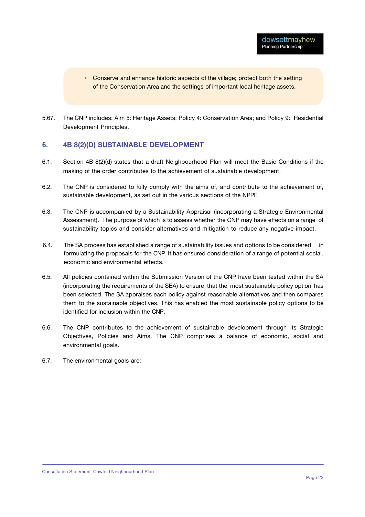- Conserve and enhance historic aspects of the village; protect both the setting of the Conservation Area and the settings of important local heritage assets.
- 5.67. The CNP includes: Aim 5: Heritage Assets; Policy 4: Conservation Area; and Policy 9: Residential Development Principles.

#### **6. 4B 8(2)(D) SUSTAINABLE DEVELOPMENT**

- 6.1. Section 4B 8(2)(d) states that a draft Neighbourhood Plan will meet the Basic Conditions if the making of the order contributes to the achievement of sustainable development.
- 6.2. The CNP is considered to fully comply with the aims of, and contribute to the achievement of, sustainable development, as set out in the various sections of the NPPF.
- 6.3. The CNP is accompanied by a Sustainability Appraisal (incorporating a Strategic Environmental Assessment). The purpose of which is to assess whether the CNP may have effects on a range of sustainability topics and consider alternatives and mitigation to reduce any negative impact.
- 6.4. The SA process has established a range of sustainability issues and options to be considered in formulating the proposals for the CNP. It has ensured consideration of a range of potential social, economic and environmental effects.
- 6.5. All policies contained within the Submission Version of the CNP have been tested within the SA (incorporating the requirements of the SEA) to ensure that the most sustainable policy option has been selected. The SA appraises each policy against reasonable alternatives and then compares them to the sustainable objectives. This has enabled the most sustainable policy options to be identified for inclusion within the CNP.
- 6.6. The CNP contributes to the achievement of sustainable development through its Strategic Objectives, Policies and Aims. The CNP comprises a balance of economic, social and environmental goals.
- 6.7. The environmental goals are: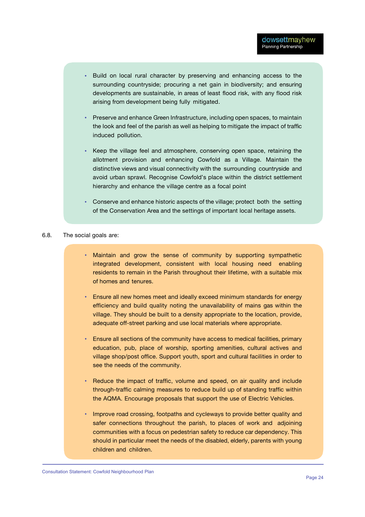- $\bullet$  . Build on local rural character by preserving and enhancing access to the surrounding countryside; procuring a net gain in biodiversity; and ensuring developments are sustainable, in areas of least flood risk, with any flood risk arising from development being fully mitigated.
- Preserve and enhance Green Infrastructure, including open spaces, to maintain the look and feel of the parish as well as helping to mitigate the impact of traffic induced pollution.
- Keep the village feel and atmosphere, conserving open space, retaining the allotment provision and enhancing Cowfold as a Village. Maintain the distinctive views and visual connectivity with the surrounding countryside and avoid urban sprawl. Recognise Cowfold's place within the district settlement hierarchy and enhance the village centre as a focal point
- Conserve and enhance historic aspects of the village; protect both the setting of the Conservation Area and the settings of important local heritage assets.

#### 6.8. The social goals are:

- Maintain and grow the sense of community by supporting sympathetic integrated development, consistent with local housing need enabling residents to remain in the Parish throughout their lifetime, with a suitable mix of homes and tenures.
- Ensure all new homes meet and ideally exceed minimum standards for energy efficiency and build quality noting the unavailability of mains gas within the village. They should be built to a density appropriate to the location, provide, adequate off-street parking and use local materials where appropriate.
- Ensure all sections of the community have access to medical facilities, primary education, pub, place of worship, sporting amenities, cultural actives and village shop/post office. Support youth, sport and cultural facilities in order to see the needs of the community.
- Reduce the impact of traffic, volume and speed, on air quality and include through-traffic calming measures to reduce build up of standing traffic within the AQMA. Encourage proposals that support the use of Electric Vehicles.
- Improve road crossing, footpaths and cycleways to provide better quality and safer connections throughout the parish, to places of work and adjoining communities with a focus on pedestrian safety to reduce car dependency. This should in particular meet the needs of the disabled, elderly, parents with young children and children.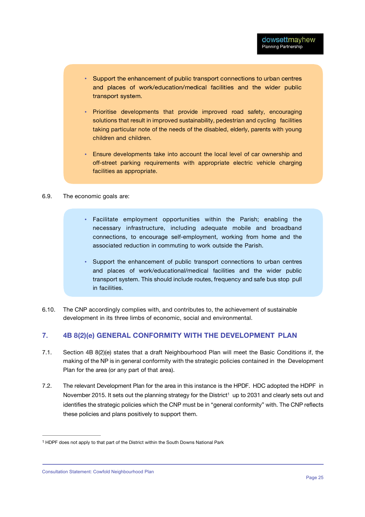- Support the enhancement of public transport connections to urban centres and places of work/education/medical facilities and the wider public transport system.
- Prioritise developments that provide improved road safety, encouraging solutions that result in improved sustainability, pedestrian and cycling facilities taking particular note of the needs of the disabled, elderly, parents with young children and children.
- Ensure developments take into account the local level of car ownership and off-street parking requirements with appropriate electric vehicle charging facilities as appropriate.

#### 6.9. The economic goals are:

- Facilitate employment opportunities within the Parish; enabling the necessary infrastructure, including adequate mobile and broadband connections, to encourage self-employment, working from home and the associated reduction in commuting to work outside the Parish.
- Support the enhancement of public transport connections to urban centres and places of work/educational/medical facilities and the wider public transport system. This should include routes, frequency and safe bus stop pull in facilities.
- 6.10. The CNP accordingly complies with, and contributes to, the achievement of sustainable development in its three limbs of economic, social and environmental.

#### **7. 4B 8(2)(e) GENERAL CONFORMITY WITH THE DEVELOPMENT PLAN**

- 7.1. Section 4B 8(2)(e) states that a draft Neighbourhood Plan will meet the Basic Conditions if, the making of the NP is in general conformity with the strategic policies contained in the Development Plan for the area (or any part of that area).
- 7.2. The relevant Development Plan for the area in this instance is the HPDF. HDC adopted the HDPF in November 2015. It sets out the planning strategy for the District<sup>1</sup> up to 2031 and clearly sets out and identifies the strategic policies which the CNP must be in "general conformity" with. The CNP reflects these policies and plans positively to support them.

<sup>1</sup> HDPF does not apply to that part of the District within the South Downs National Park

Consultation Statement: Cowfold Neighbourhood Plan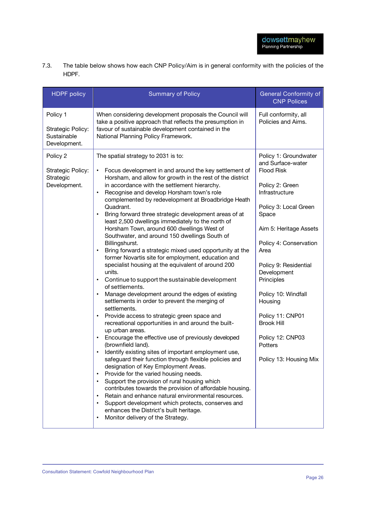7.3. The table below shows how each CNP Policy/Aim is in general conformity with the policies of the HDPF.

| <b>HDPF</b> policy                                           | <b>Summary of Policy</b>                                                                                                                                                                                                                                                                                                                                                                                                                                                                                                                                                                                                                                                                                                                                                                                                                                                                                                                                                                                                                                                                                                                                                                                                                                                                                                                                                                                                                                                                                                                                                                                                                                                                                                            | <b>General Conformity of</b><br><b>CNP Polices</b>                                                                                                                                                                                                                                                                                                                                           |
|--------------------------------------------------------------|-------------------------------------------------------------------------------------------------------------------------------------------------------------------------------------------------------------------------------------------------------------------------------------------------------------------------------------------------------------------------------------------------------------------------------------------------------------------------------------------------------------------------------------------------------------------------------------------------------------------------------------------------------------------------------------------------------------------------------------------------------------------------------------------------------------------------------------------------------------------------------------------------------------------------------------------------------------------------------------------------------------------------------------------------------------------------------------------------------------------------------------------------------------------------------------------------------------------------------------------------------------------------------------------------------------------------------------------------------------------------------------------------------------------------------------------------------------------------------------------------------------------------------------------------------------------------------------------------------------------------------------------------------------------------------------------------------------------------------------|----------------------------------------------------------------------------------------------------------------------------------------------------------------------------------------------------------------------------------------------------------------------------------------------------------------------------------------------------------------------------------------------|
| Policy 1<br>Strategic Policy:<br>Sustainable<br>Development. | When considering development proposals the Council will<br>take a positive approach that reflects the presumption in<br>favour of sustainable development contained in the<br>National Planning Policy Framework.                                                                                                                                                                                                                                                                                                                                                                                                                                                                                                                                                                                                                                                                                                                                                                                                                                                                                                                                                                                                                                                                                                                                                                                                                                                                                                                                                                                                                                                                                                                   | Full conformity, all<br>Policies and Aims.                                                                                                                                                                                                                                                                                                                                                   |
| Policy 2<br>Strategic Policy:<br>Strategic<br>Development.   | The spatial strategy to 2031 is to:<br>Focus development in and around the key settlement of<br>$\bullet$<br>Horsham, and allow for growth in the rest of the district<br>in accordance with the settlement hierarchy.<br>Recognise and develop Horsham town's role<br>$\bullet$<br>complemented by redevelopment at Broadbridge Heath<br>Quadrant.<br>Bring forward three strategic development areas of at<br>least 2,500 dwellings immediately to the north of<br>Horsham Town, around 600 dwellings West of<br>Southwater, and around 150 dwellings South of<br>Billingshurst.<br>Bring forward a strategic mixed used opportunity at the<br>former Novartis site for employment, education and<br>specialist housing at the equivalent of around 200<br>units.<br>Continue to support the sustainable development<br>of settlements.<br>Manage development around the edges of existing<br>settlements in order to prevent the merging of<br>settlements.<br>Provide access to strategic green space and<br>recreational opportunities in and around the built-<br>up urban areas.<br>Encourage the effective use of previously developed<br>(brownfield land).<br>Identify existing sites of important employment use,<br>safeguard their function through flexible policies and<br>designation of Key Employment Areas.<br>Provide for the varied housing needs.<br>$\bullet$<br>Support the provision of rural housing which<br>$\bullet$<br>contributes towards the provision of affordable housing.<br>Retain and enhance natural environmental resources.<br>$\bullet$<br>Support development which protects, conserves and<br>enhances the District's built heritage.<br>Monitor delivery of the Strategy.<br>$\bullet$ | Policy 1: Groundwater<br>and Surface-water<br><b>Flood Risk</b><br>Policy 2: Green<br>Infrastructure<br>Policy 3: Local Green<br>Space<br>Aim 5: Heritage Assets<br>Policy 4: Conservation<br>Area<br>Policy 9: Residential<br>Development<br>Principles<br>Policy 10: Windfall<br>Housing<br>Policy 11: CNP01<br><b>Brook Hill</b><br>Policy 12: CNP03<br>Potters<br>Policy 13: Housing Mix |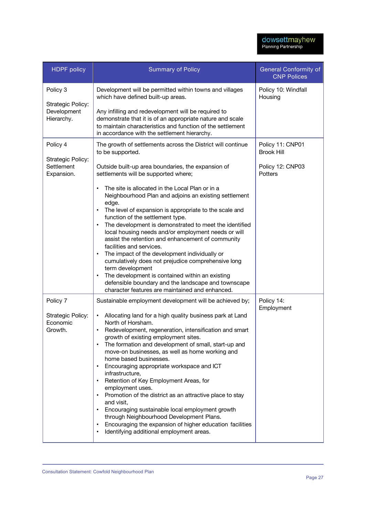| <b>HDPF</b> policy                                         | <b>Summary of Policy</b>                                                                                                                                                                                                                                                                                                                                                                                                                                                                                                                                                                                                                                                                                                                                                                                                                                                                                             | <b>General Conformity of</b><br><b>CNP Polices</b>                   |
|------------------------------------------------------------|----------------------------------------------------------------------------------------------------------------------------------------------------------------------------------------------------------------------------------------------------------------------------------------------------------------------------------------------------------------------------------------------------------------------------------------------------------------------------------------------------------------------------------------------------------------------------------------------------------------------------------------------------------------------------------------------------------------------------------------------------------------------------------------------------------------------------------------------------------------------------------------------------------------------|----------------------------------------------------------------------|
| Policy 3<br>Strategic Policy:<br>Development<br>Hierarchy. | Development will be permitted within towns and villages<br>which have defined built-up areas.<br>Any infilling and redevelopment will be required to<br>demonstrate that it is of an appropriate nature and scale<br>to maintain characteristics and function of the settlement<br>in accordance with the settlement hierarchy.                                                                                                                                                                                                                                                                                                                                                                                                                                                                                                                                                                                      | Policy 10: Windfall<br>Housing                                       |
| Policy 4<br>Strategic Policy:<br>Settlement<br>Expansion.  | The growth of settlements across the District will continue<br>to be supported.<br>Outside built-up area boundaries, the expansion of<br>settlements will be supported where;<br>The site is allocated in the Local Plan or in a<br>$\bullet$<br>Neighbourhood Plan and adjoins an existing settlement<br>edge.<br>The level of expansion is appropriate to the scale and<br>function of the settlement type.<br>The development is demonstrated to meet the identified<br>$\bullet$<br>local housing needs and/or employment needs or will<br>assist the retention and enhancement of community<br>facilities and services.<br>The impact of the development individually or<br>cumulatively does not prejudice comprehensive long<br>term development<br>The development is contained within an existing<br>defensible boundary and the landscape and townscape<br>character features are maintained and enhanced. | Policy 11: CNP01<br><b>Brook Hill</b><br>Policy 12: CNP03<br>Potters |
| Policy 7<br>Strategic Policy:<br>Economic<br>Growth.       | Sustainable employment development will be achieved by;<br>Allocating land for a high quality business park at Land<br>North of Horsham.<br>Redevelopment, regeneration, intensification and smart<br>growth of existing employment sites.<br>The formation and development of small, start-up and<br>move-on businesses, as well as home working and<br>home based businesses.<br>Encouraging appropriate workspace and ICT<br>infrastructure,<br>Retention of Key Employment Areas, for<br>employment uses.<br>Promotion of the district as an attractive place to stay<br>and visit,<br>Encouraging sustainable local employment growth<br>through Neighbourhood Development Plans.<br>Encouraging the expansion of higher education facilities<br>$\bullet$<br>Identifying additional employment areas.<br>$\bullet$                                                                                             | Policy 14:<br>Employment                                             |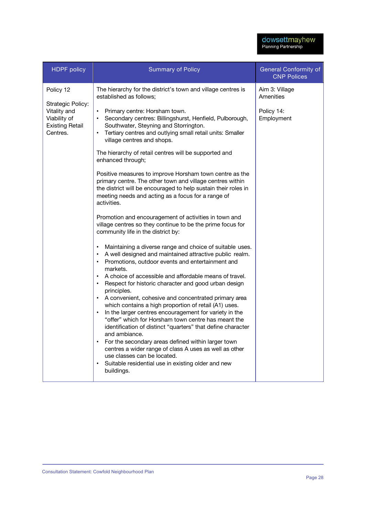| <b>HDPF</b> policy                                                                                   | <b>Summary of Policy</b>                                                                                                                                                                                                                                                                                                                                                                                                                                                                                                                                                                                                                                                                                                                                                                                                                                                                                                                                                   | General Conformity of<br><b>CNP Polices</b>             |
|------------------------------------------------------------------------------------------------------|----------------------------------------------------------------------------------------------------------------------------------------------------------------------------------------------------------------------------------------------------------------------------------------------------------------------------------------------------------------------------------------------------------------------------------------------------------------------------------------------------------------------------------------------------------------------------------------------------------------------------------------------------------------------------------------------------------------------------------------------------------------------------------------------------------------------------------------------------------------------------------------------------------------------------------------------------------------------------|---------------------------------------------------------|
| Policy 12<br>Strategic Policy:<br>Vitality and<br>Viability of<br><b>Existing Retail</b><br>Centres. | The hierarchy for the district's town and village centres is<br>established as follows;<br>• Primary centre: Horsham town.<br>Secondary centres: Billingshurst, Henfield, Pulborough,<br>$\bullet$<br>Southwater, Steyning and Storrington.<br>Tertiary centres and outlying small retail units: Smaller<br>$\bullet$<br>village centres and shops.<br>The hierarchy of retail centres will be supported and<br>enhanced through;<br>Positive measures to improve Horsham town centre as the<br>primary centre. The other town and village centres within<br>the district will be encouraged to help sustain their roles in<br>meeting needs and acting as a focus for a range of<br>activities.<br>Promotion and encouragement of activities in town and                                                                                                                                                                                                                  | Aim 3: Village<br>Amenities<br>Policy 14:<br>Employment |
|                                                                                                      | village centres so they continue to be the prime focus for<br>community life in the district by:<br>Maintaining a diverse range and choice of suitable uses.<br>A well designed and maintained attractive public realm.<br>$\bullet$<br>Promotions, outdoor events and entertainment and<br>markets.<br>A choice of accessible and affordable means of travel.<br>Respect for historic character and good urban design<br>principles.<br>A convenient, cohesive and concentrated primary area<br>which contains a high proportion of retail (A1) uses.<br>In the larger centres encouragement for variety in the<br>"offer" which for Horsham town centre has meant the<br>identification of distinct "quarters" that define character<br>and ambiance.<br>For the secondary areas defined within larger town<br>centres a wider range of class A uses as well as other<br>use classes can be located.<br>Suitable residential use in existing older and new<br>buildings. |                                                         |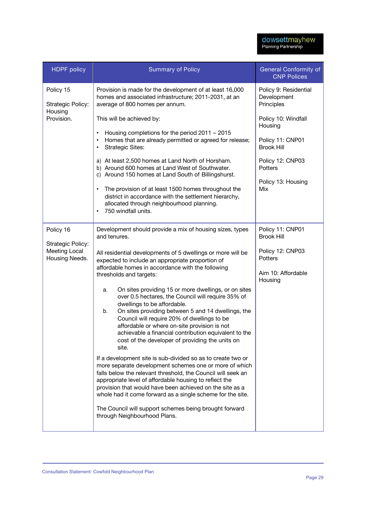| <b>HDPF</b> policy                                   | <b>Summary of Policy</b>                                                                                                                                                                                                                                                                                                                                                                                                                                                                                                                                                                                                 | <b>General Conformity of</b><br><b>CNP Polices</b>           |
|------------------------------------------------------|--------------------------------------------------------------------------------------------------------------------------------------------------------------------------------------------------------------------------------------------------------------------------------------------------------------------------------------------------------------------------------------------------------------------------------------------------------------------------------------------------------------------------------------------------------------------------------------------------------------------------|--------------------------------------------------------------|
| Policy 15<br>Strategic Policy:                       | Provision is made for the development of at least 16,000<br>homes and associated infrastructure; 2011-2031, at an<br>average of 800 homes per annum.                                                                                                                                                                                                                                                                                                                                                                                                                                                                     | Policy 9: Residential<br>Development<br>Principles           |
| Housing<br>Provision.                                | This will be achieved by:                                                                                                                                                                                                                                                                                                                                                                                                                                                                                                                                                                                                | Policy 10: Windfall<br>Housing                               |
|                                                      | Housing completions for the period 2011 - 2015<br>$\bullet$<br>Homes that are already permitted or agreed for release;<br>$\bullet$<br><b>Strategic Sites:</b><br>$\bullet$                                                                                                                                                                                                                                                                                                                                                                                                                                              | Policy 11: CNP01<br><b>Brook Hill</b>                        |
|                                                      | a) At least 2,500 homes at Land North of Horsham.<br>b) Around 600 homes at Land West of Southwater.                                                                                                                                                                                                                                                                                                                                                                                                                                                                                                                     | Policy 12: CNP03<br><b>Potters</b>                           |
|                                                      | c) Around 150 homes at Land South of Billingshurst.<br>The provision of at least 1500 homes throughout the<br>$\bullet$<br>district in accordance with the settlement hierarchy,<br>allocated through neighbourhood planning.<br>750 windfall units.<br>$\bullet$                                                                                                                                                                                                                                                                                                                                                        | Policy 13: Housing<br>Mix                                    |
| Policy 16                                            | Development should provide a mix of housing sizes, types<br>and tenures.                                                                                                                                                                                                                                                                                                                                                                                                                                                                                                                                                 | Policy 11: CNP01<br><b>Brook Hill</b>                        |
| Strategic Policy:<br>Meeting Local<br>Housing Needs. | All residential developments of 5 dwellings or more will be<br>expected to include an appropriate proportion of<br>affordable homes in accordance with the following<br>thresholds and targets:                                                                                                                                                                                                                                                                                                                                                                                                                          | Policy 12: CNP03<br>Potters<br>Aim 10: Affordable<br>Housing |
|                                                      | On sites providing 15 or more dwellings, or on sites<br>а.<br>over 0.5 hectares, the Council will require 35% of<br>dwellings to be affordable.<br>On sites providing between 5 and 14 dwellings, the<br>b.<br>Council will require 20% of dwellings to be<br>affordable or where on-site provision is not<br>achievable a financial contribution equivalent to the<br>cost of the developer of providing the units on<br>site.<br>If a development site is sub-divided so as to create two or<br>more separate development schemes one or more of which<br>falls below the relevant threshold, the Council will seek an |                                                              |
|                                                      | appropriate level of affordable housing to reflect the<br>provision that would have been achieved on the site as a<br>whole had it come forward as a single scheme for the site.                                                                                                                                                                                                                                                                                                                                                                                                                                         |                                                              |
|                                                      | The Council will support schemes being brought forward<br>through Neighbourhood Plans.                                                                                                                                                                                                                                                                                                                                                                                                                                                                                                                                   |                                                              |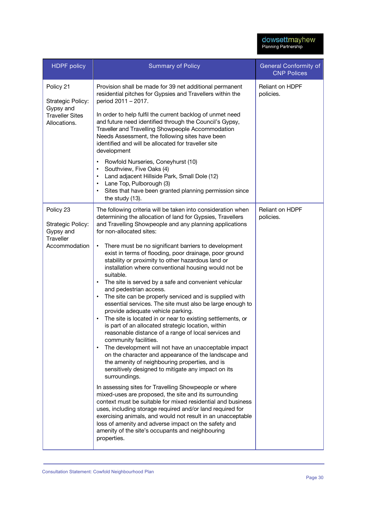| <b>HDPF</b> policy                                                                    | <b>Summary of Policy</b>                                                                                                                                                                                                                                                                                                                                                                                                                                                                                                                                                                                                                                                                                                                                                                                                                                                                                                                                                                                                                                                                                                                                                                                                                                                                                                                                                                                                                                                                                                                                                                                                                                                  | <b>General Conformity of</b><br><b>CNP Polices</b> |
|---------------------------------------------------------------------------------------|---------------------------------------------------------------------------------------------------------------------------------------------------------------------------------------------------------------------------------------------------------------------------------------------------------------------------------------------------------------------------------------------------------------------------------------------------------------------------------------------------------------------------------------------------------------------------------------------------------------------------------------------------------------------------------------------------------------------------------------------------------------------------------------------------------------------------------------------------------------------------------------------------------------------------------------------------------------------------------------------------------------------------------------------------------------------------------------------------------------------------------------------------------------------------------------------------------------------------------------------------------------------------------------------------------------------------------------------------------------------------------------------------------------------------------------------------------------------------------------------------------------------------------------------------------------------------------------------------------------------------------------------------------------------------|----------------------------------------------------|
| Policy 21<br>Strategic Policy:<br>Gypsy and<br><b>Traveller Sites</b><br>Allocations. | Provision shall be made for 39 net additional permanent<br>residential pitches for Gypsies and Travellers within the<br>period 2011 - 2017.<br>In order to help fulfil the current backlog of unmet need<br>and future need identified through the Council's Gypsy,<br>Traveller and Travelling Showpeople Accommodation<br>Needs Assessment, the following sites have been<br>identified and will be allocated for traveller site<br>development<br>Rowfold Nurseries, Coneyhurst (10)<br>$\bullet$<br>Southview, Five Oaks (4)<br>$\bullet$<br>Land adjacent Hillside Park, Small Dole (12)<br>$\bullet$<br>Lane Top, Pulborough (3)<br>$\bullet$<br>Sites that have been granted planning permission since<br>$\bullet$                                                                                                                                                                                                                                                                                                                                                                                                                                                                                                                                                                                                                                                                                                                                                                                                                                                                                                                                                | <b>Reliant on HDPF</b><br>policies.                |
| Policy 23<br>Strategic Policy:<br>Gypsy and<br>Traveller<br>Accommodation             | the study (13).<br>The following criteria will be taken into consideration when<br>determining the allocation of land for Gypsies, Travellers<br>and Travelling Showpeople and any planning applications<br>for non-allocated sites:<br>There must be no significant barriers to development<br>$\bullet$<br>exist in terms of flooding, poor drainage, poor ground<br>stability or proximity to other hazardous land or<br>installation where conventional housing would not be<br>suitable.<br>The site is served by a safe and convenient vehicular<br>$\bullet$<br>and pedestrian access.<br>The site can be properly serviced and is supplied with<br>$\bullet$<br>essential services. The site must also be large enough to<br>provide adequate vehicle parking.<br>The site is located in or near to existing settlements, or<br>$\bullet$<br>is part of an allocated strategic location, within<br>reasonable distance of a range of local services and<br>community facilities.<br>The development will not have an unacceptable impact<br>on the character and appearance of the landscape and<br>the amenity of neighbouring properties, and is<br>sensitively designed to mitigate any impact on its<br>surroundings.<br>In assessing sites for Travelling Showpeople or where<br>mixed-uses are proposed, the site and its surrounding<br>context must be suitable for mixed residential and business<br>uses, including storage required and/or land required for<br>exercising animals, and would not result in an unacceptable<br>loss of amenity and adverse impact on the safety and<br>amenity of the site's occupants and neighbouring<br>properties. | Reliant on HDPF<br>policies.                       |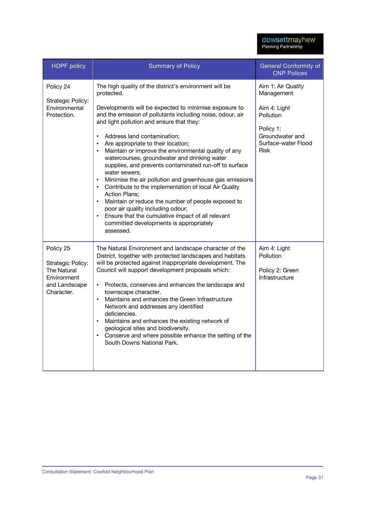| <b>HDPF</b> policy                                                                                 | <b>Summary of Policy</b>                                                                                                                                                                                                                                                                                                                                                                                                                                                                                                                                                                                                                                                                                                                                                                                                                                                                                                                        | <b>General Conformity of</b><br><b>CNP Polices</b>                                                                                  |
|----------------------------------------------------------------------------------------------------|-------------------------------------------------------------------------------------------------------------------------------------------------------------------------------------------------------------------------------------------------------------------------------------------------------------------------------------------------------------------------------------------------------------------------------------------------------------------------------------------------------------------------------------------------------------------------------------------------------------------------------------------------------------------------------------------------------------------------------------------------------------------------------------------------------------------------------------------------------------------------------------------------------------------------------------------------|-------------------------------------------------------------------------------------------------------------------------------------|
| Policy 24<br>Strategic Policy:<br>Environmental<br>Protection.                                     | The high quality of the district's environment will be<br>protected.<br>Developments will be expected to minimise exposure to<br>and the emission of pollutants including noise, odour, air<br>and light pollution and ensure that they:<br>Address land contamination;<br>$\bullet$<br>Are appropriate to their location;<br>$\bullet$<br>Maintain or improve the environmental quality of any<br>$\bullet$<br>watercourses, groundwater and drinking water<br>supplies, and prevents contaminated run-off to surface<br>water sewers:<br>Minimise the air pollution and greenhouse gas emissions<br>$\bullet$<br>Contribute to the implementation of local Air Quality<br>$\bullet$<br><b>Action Plans;</b><br>Maintain or reduce the number of people exposed to<br>$\bullet$<br>poor air quality including odour;<br>Ensure that the cumulative impact of all relevant<br>$\bullet$<br>committed developments is appropriately<br>assessed. | Aim 1: Air Quality<br>Management<br>Aim 4: Light<br>Pollution<br>Policy 1:<br>Groundwater and<br>Surface-water Flood<br><b>Risk</b> |
| Policy 25<br>Strategic Policy:<br><b>The Natural</b><br>Environment<br>and Landscape<br>Character. | The Natural Environment and landscape character of the<br>District, together with protected landscapes and habitats<br>will be protected against inappropriate development. The<br>Council will support development proposals which:<br>Protects, conserves and enhances the landscape and<br>$\bullet$<br>townscape character.<br>Maintains and enhances the Green Infrastructure<br>$\bullet$<br>Network and addresses any identified<br>deficiencies.<br>Maintains and enhances the existing network of<br>$\bullet$<br>geological sites and biodiversity.<br>Conserve and where possible enhance the setting of the<br>$\bullet$<br>South Downs National Park.                                                                                                                                                                                                                                                                              | Aim 4: Light<br>Pollution<br>Policy 2: Green<br>Infrastructure                                                                      |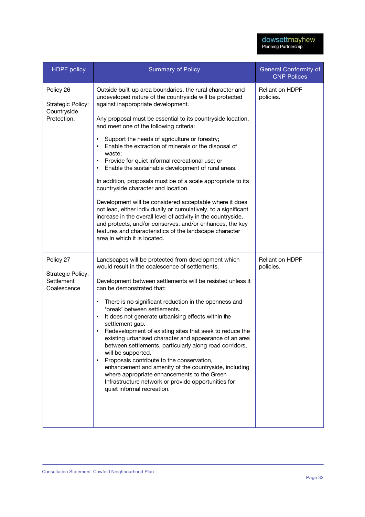| <b>HDPF</b> policy                            | <b>Summary of Policy</b>                                                                                                                                                                                                                                                                                                                                                                                                                                                                                                                                                                                                                              | General Conformity of<br><b>CNP Polices</b> |
|-----------------------------------------------|-------------------------------------------------------------------------------------------------------------------------------------------------------------------------------------------------------------------------------------------------------------------------------------------------------------------------------------------------------------------------------------------------------------------------------------------------------------------------------------------------------------------------------------------------------------------------------------------------------------------------------------------------------|---------------------------------------------|
| Policy 26<br>Strategic Policy:<br>Countryside | Outside built-up area boundaries, the rural character and<br>undeveloped nature of the countryside will be protected<br>against inappropriate development.                                                                                                                                                                                                                                                                                                                                                                                                                                                                                            | Reliant on HDPF<br>policies.                |
| Protection.                                   | Any proposal must be essential to its countryside location,<br>and meet one of the following criteria:                                                                                                                                                                                                                                                                                                                                                                                                                                                                                                                                                |                                             |
|                                               | Support the needs of agriculture or forestry;<br>$\bullet$<br>Enable the extraction of minerals or the disposal of<br>waste;<br>Provide for quiet informal recreational use; or<br>$\bullet$<br>Enable the sustainable development of rural areas.                                                                                                                                                                                                                                                                                                                                                                                                    |                                             |
|                                               | In addition, proposals must be of a scale appropriate to its<br>countryside character and location.                                                                                                                                                                                                                                                                                                                                                                                                                                                                                                                                                   |                                             |
|                                               | Development will be considered acceptable where it does<br>not lead, either individually or cumulatively, to a significant<br>increase in the overall level of activity in the countryside,<br>and protects, and/or conserves, and/or enhances, the key<br>features and characteristics of the landscape character<br>area in which it is located.                                                                                                                                                                                                                                                                                                    |                                             |
| Policy 27<br>Strategic Policy:                | Landscapes will be protected from development which<br>would result in the coalescence of settlements.                                                                                                                                                                                                                                                                                                                                                                                                                                                                                                                                                | Reliant on HDPF<br>policies.                |
| Settlement<br>Coalescence                     | Development between settlements will be resisted unless it<br>can be demonstrated that:                                                                                                                                                                                                                                                                                                                                                                                                                                                                                                                                                               |                                             |
|                                               | There is no significant reduction in the openness and<br>$\bullet$<br>'break' between settlements.<br>It does not generate urbanising effects within the<br>$\bullet$<br>settlement gap.<br>Redevelopment of existing sites that seek to reduce the<br>existing urbanised character and appearance of an area<br>between settlements, particularly along road corridors,<br>will be supported.<br>Proposals contribute to the conservation,<br>$\bullet$<br>enhancement and amenity of the countryside, including<br>where appropriate enhancements to the Green<br>Infrastructure network or provide opportunities for<br>quiet informal recreation. |                                             |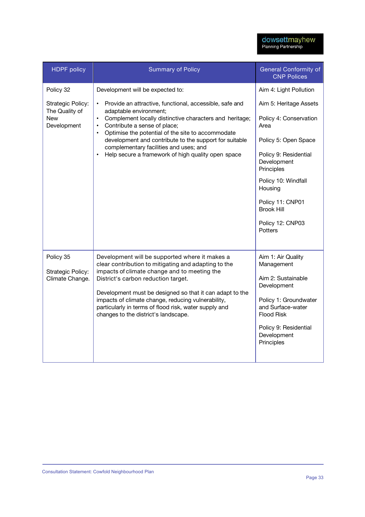| <b>HDPF</b> policy                                                     | <b>Summary of Policy</b>                                                                                                                                                                                                                                                                                                                                                                                                                                                                         | <b>General Conformity of</b><br><b>CNP Polices</b>                                                                                                                                             |
|------------------------------------------------------------------------|--------------------------------------------------------------------------------------------------------------------------------------------------------------------------------------------------------------------------------------------------------------------------------------------------------------------------------------------------------------------------------------------------------------------------------------------------------------------------------------------------|------------------------------------------------------------------------------------------------------------------------------------------------------------------------------------------------|
| Policy 32<br>Strategic Policy:<br>The Quality of<br>New<br>Development | Development will be expected to:<br>Provide an attractive, functional, accessible, safe and<br>$\bullet$<br>adaptable environment;<br>Complement locally distinctive characters and heritage;<br>$\bullet$<br>Contribute a sense of place;<br>$\bullet$<br>Optimise the potential of the site to accommodate<br>$\bullet$<br>development and contribute to the support for suitable<br>complementary facilities and uses; and<br>Help secure a framework of high quality open space<br>$\bullet$ | Aim 4: Light Pollution<br>Aim 5: Heritage Assets<br>Policy 4: Conservation<br>Area<br>Policy 5: Open Space<br>Policy 9: Residential                                                            |
|                                                                        |                                                                                                                                                                                                                                                                                                                                                                                                                                                                                                  | Development<br>Principles<br>Policy 10: Windfall<br>Housing<br>Policy 11: CNP01<br><b>Brook Hill</b><br>Policy 12: CNP03<br><b>Potters</b>                                                     |
| Policy 35<br>Strategic Policy:<br>Climate Change.                      | Development will be supported where it makes a<br>clear contribution to mitigating and adapting to the<br>impacts of climate change and to meeting the<br>District's carbon reduction target.<br>Development must be designed so that it can adapt to the<br>impacts of climate change, reducing vulnerability,<br>particularly in terms of flood risk, water supply and<br>changes to the district's landscape.                                                                                 | Aim 1: Air Quality<br>Management<br>Aim 2: Sustainable<br>Development<br>Policy 1: Groundwater<br>and Surface-water<br><b>Flood Risk</b><br>Policy 9: Residential<br>Development<br>Principles |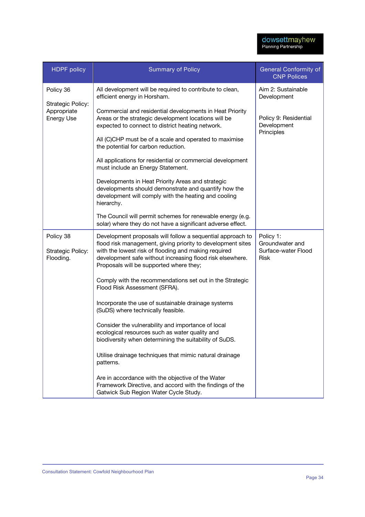| <b>HDPF</b> policy                          | <b>Summary of Policy</b>                                                                                                                                                                                                                                                                  | <b>General Conformity of</b><br><b>CNP Polices</b>                 |
|---------------------------------------------|-------------------------------------------------------------------------------------------------------------------------------------------------------------------------------------------------------------------------------------------------------------------------------------------|--------------------------------------------------------------------|
| Policy 36<br>Strategic Policy:              | All development will be required to contribute to clean,<br>efficient energy in Horsham.                                                                                                                                                                                                  | Aim 2: Sustainable<br>Development                                  |
| Appropriate<br>Energy Use                   | Commercial and residential developments in Heat Priority<br>Areas or the strategic development locations will be<br>expected to connect to district heating network.                                                                                                                      | Policy 9: Residential<br>Development<br>Principles                 |
|                                             | All (C)CHP must be of a scale and operated to maximise<br>the potential for carbon reduction.                                                                                                                                                                                             |                                                                    |
|                                             | All applications for residential or commercial development<br>must include an Energy Statement.                                                                                                                                                                                           |                                                                    |
|                                             | Developments in Heat Priority Areas and strategic<br>developments should demonstrate and quantify how the<br>development will comply with the heating and cooling<br>hierarchy.                                                                                                           |                                                                    |
|                                             | The Council will permit schemes for renewable energy (e.g.<br>solar) where they do not have a significant adverse effect.                                                                                                                                                                 |                                                                    |
| Policy 38<br>Strategic Policy:<br>Flooding. | Development proposals will follow a sequential approach to<br>flood risk management, giving priority to development sites<br>with the lowest risk of flooding and making required<br>development safe without increasing flood risk elsewhere.<br>Proposals will be supported where they; | Policy 1:<br>Groundwater and<br>Surface-water Flood<br><b>Risk</b> |
|                                             | Comply with the recommendations set out in the Strategic<br>Flood Risk Assessment (SFRA).                                                                                                                                                                                                 |                                                                    |
|                                             | Incorporate the use of sustainable drainage systems<br>(SuDS) where technically feasible.                                                                                                                                                                                                 |                                                                    |
|                                             | Consider the vulnerability and importance of local<br>ecological resources such as water quality and<br>biodiversity when determining the suitability of SuDS.                                                                                                                            |                                                                    |
|                                             | Utilise drainage techniques that mimic natural drainage<br>patterns.                                                                                                                                                                                                                      |                                                                    |
|                                             | Are in accordance with the objective of the Water<br>Framework Directive, and accord with the findings of the<br>Gatwick Sub Region Water Cycle Study.                                                                                                                                    |                                                                    |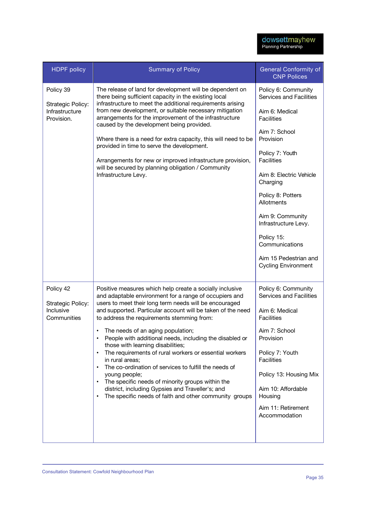| <b>HDPF</b> policy                                             | <b>Summary of Policy</b>                                                                                                                                                                                                                                                                                                                                                                                                                                                                                                                                                                                                                                                                                                                                                                                    | <b>General Conformity of</b><br><b>CNP Polices</b>                                                                                                                                                                                                                                                                                                                       |
|----------------------------------------------------------------|-------------------------------------------------------------------------------------------------------------------------------------------------------------------------------------------------------------------------------------------------------------------------------------------------------------------------------------------------------------------------------------------------------------------------------------------------------------------------------------------------------------------------------------------------------------------------------------------------------------------------------------------------------------------------------------------------------------------------------------------------------------------------------------------------------------|--------------------------------------------------------------------------------------------------------------------------------------------------------------------------------------------------------------------------------------------------------------------------------------------------------------------------------------------------------------------------|
| Policy 39<br>Strategic Policy:<br>Infrastructure<br>Provision. | The release of land for development will be dependent on<br>there being sufficient capacity in the existing local<br>infrastructure to meet the additional requirements arising<br>from new development, or suitable necessary mitigation<br>arrangements for the improvement of the infrastructure<br>caused by the development being provided.<br>Where there is a need for extra capacity, this will need to be<br>provided in time to serve the development.<br>Arrangements for new or improved infrastructure provision,<br>will be secured by planning obligation / Community<br>Infrastructure Levy.                                                                                                                                                                                                | Policy 6: Community<br>Services and Facilities<br>Aim 6: Medical<br><b>Facilities</b><br>Aim 7: School<br>Provision<br>Policy 7: Youth<br><b>Facilities</b><br>Aim 8: Electric Vehicle<br>Charging<br>Policy 8: Potters<br>Allotments<br>Aim 9: Community<br>Infrastructure Levy.<br>Policy 15:<br>Communications<br>Aim 15 Pedestrian and<br><b>Cycling Environment</b> |
| Policy 42<br>Strategic Policy:<br>Inclusive<br>Communities     | Positive measures which help create a socially inclusive<br>and adaptable environment for a range of occupiers and<br>users to meet their long term needs will be encouraged<br>and supported. Particular account will be taken of the need<br>to address the requirements stemming from:<br>The needs of an aging population;<br>People with additional needs, including the disabled or<br>those with learning disabilities;<br>The requirements of rural workers or essential workers<br>$\bullet$<br>in rural areas;<br>The co-ordination of services to fulfill the needs of<br>$\bullet$<br>young people;<br>The specific needs of minority groups within the<br>$\bullet$<br>district, including Gypsies and Traveller's; and<br>The specific needs of faith and other community groups<br>$\bullet$ | Policy 6: Community<br>Services and Facilities<br>Aim 6: Medical<br><b>Facilities</b><br>Aim 7: School<br>Provision<br>Policy 7: Youth<br><b>Facilities</b><br>Policy 13: Housing Mix<br>Aim 10: Affordable<br>Housing<br>Aim 11: Retirement<br>Accommodation                                                                                                            |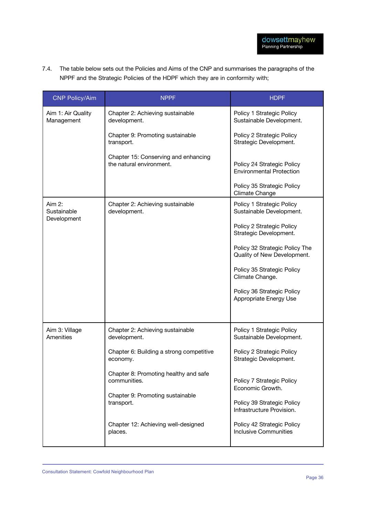7.4. The table below sets out the Policies and Aims of the CNP and summarises the paragraphs of the NPPF and the Strategic Policies of the HDPF which they are in conformity with;

| <b>CNP Policy/Aim</b>            | <b>NPPF</b>                                                      | <b>HDPF</b>                                                                 |
|----------------------------------|------------------------------------------------------------------|-----------------------------------------------------------------------------|
| Aim 1: Air Quality<br>Management | Chapter 2: Achieving sustainable<br>development.                 | Policy 1 Strategic Policy<br>Sustainable Development.                       |
|                                  | Chapter 9: Promoting sustainable<br>transport.                   | Policy 2 Strategic Policy<br>Strategic Development.                         |
|                                  | Chapter 15: Conserving and enhancing<br>the natural environment. | Policy 24 Strategic Policy<br><b>Environmental Protection</b>               |
|                                  |                                                                  | Policy 35 Strategic Policy<br>Climate Change                                |
| Aim 2:<br>Sustainable            | Chapter 2: Achieving sustainable<br>development.                 | Policy 1 Strategic Policy<br>Sustainable Development.                       |
| Development                      |                                                                  | Policy 2 Strategic Policy<br>Strategic Development.                         |
|                                  |                                                                  | Policy 32 Strategic Policy The<br>Quality of New Development.               |
|                                  |                                                                  | Policy 35 Strategic Policy<br>Climate Change.                               |
|                                  |                                                                  | Policy 36 Strategic Policy<br>Appropriate Energy Use                        |
|                                  |                                                                  |                                                                             |
| Aim 3: Village<br>Amenities      | Chapter 2: Achieving sustainable<br>development.                 | Policy 1 Strategic Policy<br>Sustainable Development.                       |
|                                  | Chapter 6: Building a strong competitive<br>economy.             | Policy 2 Strategic Policy<br>Strategic Development.                         |
|                                  | Chapter 8: Promoting healthy and safe<br>communities.            | Policy 7 Strategic Policy                                                   |
|                                  | Chapter 9: Promoting sustainable<br>transport.                   | Economic Growth.<br>Policy 39 Strategic Policy<br>Infrastructure Provision. |
|                                  | Chapter 12: Achieving well-designed<br>places.                   | Policy 42 Strategic Policy<br><b>Inclusive Communities</b>                  |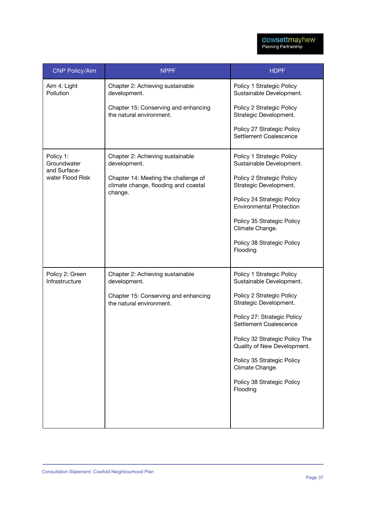| <b>CNP Policy/Aim</b>                    | <b>NPPF</b>                                                                  | <b>HDPF</b>                                                   |
|------------------------------------------|------------------------------------------------------------------------------|---------------------------------------------------------------|
| Aim 4: Light<br>Pollution                | Chapter 2: Achieving sustainable<br>development.                             | Policy 1 Strategic Policy<br>Sustainable Development.         |
|                                          | Chapter 15: Conserving and enhancing<br>the natural environment.             | Policy 2 Strategic Policy<br>Strategic Development.           |
|                                          |                                                                              | Policy 27 Strategic Policy<br>Settlement Coalescence          |
| Policy 1:<br>Groundwater<br>and Surface- | Chapter 2: Achieving sustainable<br>development.                             | Policy 1 Strategic Policy<br>Sustainable Development.         |
| water Flood Risk                         | Chapter 14: Meeting the challenge of<br>climate change, flooding and coastal | Policy 2 Strategic Policy<br>Strategic Development.           |
|                                          | change.                                                                      | Policy 24 Strategic Policy<br><b>Environmental Protection</b> |
|                                          |                                                                              | Policy 35 Strategic Policy<br>Climate Change.                 |
|                                          |                                                                              | Policy 38 Strategic Policy<br>Flooding                        |
| Policy 2: Green<br>Infrastructure        | Chapter 2: Achieving sustainable<br>development.                             | Policy 1 Strategic Policy<br>Sustainable Development.         |
|                                          | Chapter 15: Conserving and enhancing<br>the natural environment.             | Policy 2 Strategic Policy<br>Strategic Development.           |
|                                          |                                                                              | Policy 27: Strategic Policy<br>Settlement Coalescence         |
|                                          |                                                                              | Policy 32 Strategic Policy The<br>Quality of New Development. |
|                                          |                                                                              | Policy 35 Strategic Policy<br>Climate Change.                 |
|                                          |                                                                              | Policy 38 Strategic Policy<br>Flooding                        |
|                                          |                                                                              |                                                               |
|                                          |                                                                              |                                                               |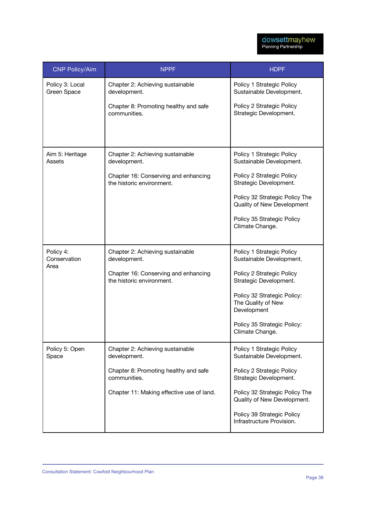| <b>CNP Policy/Aim</b>             | <b>NPPF</b>                                                       | <b>HDPF</b>                                                      |
|-----------------------------------|-------------------------------------------------------------------|------------------------------------------------------------------|
| Policy 3: Local<br>Green Space    | Chapter 2: Achieving sustainable<br>development.                  | Policy 1 Strategic Policy<br>Sustainable Development.            |
|                                   | Chapter 8: Promoting healthy and safe<br>communities.             | Policy 2 Strategic Policy<br>Strategic Development.              |
|                                   |                                                                   |                                                                  |
| Aim 5: Heritage<br>Assets         | Chapter 2: Achieving sustainable<br>development.                  | Policy 1 Strategic Policy<br>Sustainable Development.            |
|                                   | Chapter 16: Conserving and enhancing<br>the historic environment. | Policy 2 Strategic Policy<br>Strategic Development.              |
|                                   |                                                                   | Policy 32 Strategic Policy The<br>Quality of New Development     |
|                                   |                                                                   | Policy 35 Strategic Policy<br>Climate Change.                    |
| Policy 4:<br>Conservation<br>Area | Chapter 2: Achieving sustainable<br>development.                  | Policy 1 Strategic Policy<br>Sustainable Development.            |
|                                   | Chapter 16: Conserving and enhancing<br>the historic environment. | Policy 2 Strategic Policy<br>Strategic Development.              |
|                                   |                                                                   | Policy 32 Strategic Policy:<br>The Quality of New<br>Development |
|                                   |                                                                   | Policy 35 Strategic Policy:<br>Climate Change.                   |
| Policy 5: Open<br>Space           | Chapter 2: Achieving sustainable<br>development.                  | Policy 1 Strategic Policy<br>Sustainable Development.            |
|                                   | Chapter 8: Promoting healthy and safe<br>communities.             | Policy 2 Strategic Policy<br>Strategic Development.              |
|                                   | Chapter 11: Making effective use of land.                         | Policy 32 Strategic Policy The<br>Quality of New Development.    |
|                                   |                                                                   | Policy 39 Strategic Policy<br>Infrastructure Provision.          |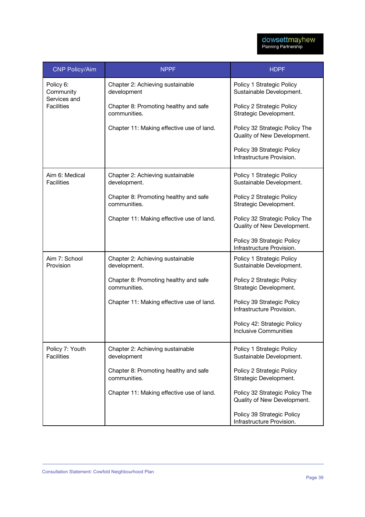| <b>CNP Policy/Aim</b>                                       | <b>NPPF</b>                                           | <b>HDPF</b>                                                   |
|-------------------------------------------------------------|-------------------------------------------------------|---------------------------------------------------------------|
| Policy 6:<br>Community<br>Services and<br><b>Facilities</b> | Chapter 2: Achieving sustainable<br>development       | Policy 1 Strategic Policy<br>Sustainable Development.         |
|                                                             | Chapter 8: Promoting healthy and safe<br>communities. | Policy 2 Strategic Policy<br>Strategic Development.           |
|                                                             | Chapter 11: Making effective use of land.             | Policy 32 Strategic Policy The<br>Quality of New Development. |
|                                                             |                                                       | Policy 39 Strategic Policy<br>Infrastructure Provision.       |
| Aim 6: Medical<br><b>Facilities</b>                         | Chapter 2: Achieving sustainable<br>development.      | Policy 1 Strategic Policy<br>Sustainable Development.         |
|                                                             | Chapter 8: Promoting healthy and safe<br>communities. | Policy 2 Strategic Policy<br>Strategic Development.           |
|                                                             | Chapter 11: Making effective use of land.             | Policy 32 Strategic Policy The<br>Quality of New Development. |
|                                                             |                                                       | Policy 39 Strategic Policy<br>Infrastructure Provision.       |
| Aim 7: School<br>Provision                                  | Chapter 2: Achieving sustainable<br>development.      | Policy 1 Strategic Policy<br>Sustainable Development.         |
|                                                             | Chapter 8: Promoting healthy and safe<br>communities. | Policy 2 Strategic Policy<br>Strategic Development.           |
|                                                             | Chapter 11: Making effective use of land.             | Policy 39 Strategic Policy<br>Infrastructure Provision.       |
|                                                             |                                                       | Policy 42: Strategic Policy<br>Inclusive Communities          |
| Policy 7: Youth<br><b>Facilities</b>                        | Chapter 2: Achieving sustainable<br>development       | Policy 1 Strategic Policy<br>Sustainable Development.         |
|                                                             | Chapter 8: Promoting healthy and safe<br>communities. | Policy 2 Strategic Policy<br>Strategic Development.           |
|                                                             | Chapter 11: Making effective use of land.             | Policy 32 Strategic Policy The<br>Quality of New Development. |
|                                                             |                                                       | Policy 39 Strategic Policy<br>Infrastructure Provision.       |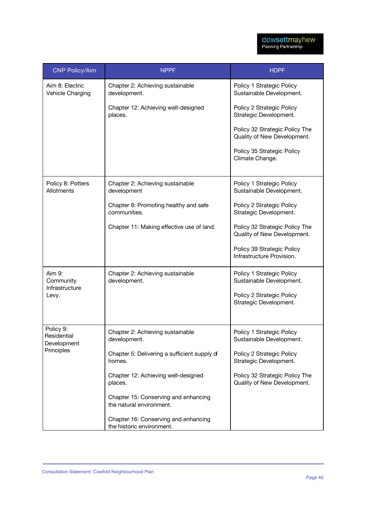| <b>CNP Policy/Aim</b>                   | <b>NPPF</b>                                                       | <b>HDPF</b>                                                   |
|-----------------------------------------|-------------------------------------------------------------------|---------------------------------------------------------------|
| Aim 8: Electric<br>Vehicle Charging     | Chapter 2: Achieving sustainable<br>development.                  | Policy 1 Strategic Policy<br>Sustainable Development.         |
|                                         | Chapter 12: Achieving well-designed<br>places.                    | Policy 2 Strategic Policy<br>Strategic Development.           |
|                                         |                                                                   | Policy 32 Strategic Policy The<br>Quality of New Development. |
|                                         |                                                                   | Policy 35 Strategic Policy<br>Climate Change.                 |
| Policy 8: Potters<br>Allotments         | Chapter 2: Achieving sustainable<br>development                   | Policy 1 Strategic Policy<br>Sustainable Development.         |
|                                         | Chapter 8: Promoting healthy and safe<br>communities.             | Policy 2 Strategic Policy<br>Strategic Development.           |
|                                         | Chapter 11: Making effective use of land.                         | Policy 32 Strategic Policy The<br>Quality of New Development. |
|                                         |                                                                   | Policy 39 Strategic Policy<br>Infrastructure Provision.       |
| Aim 9:<br>Community<br>Infrastructure   | Chapter 2: Achieving sustainable<br>development.                  | Policy 1 Strategic Policy<br>Sustainable Development.         |
| Levy.                                   |                                                                   | Policy 2 Strategic Policy<br>Strategic Development.           |
| Policy 9:<br>Residential<br>Development | Chapter 2: Achieving sustainable<br>development.                  | Policy 1 Strategic Policy<br>Sustainable Development.         |
| Principles                              | Chapter 5: Delivering a sufficient supply of<br>homes.            | Policy 2 Strategic Policy<br>Strategic Development.           |
|                                         | Chapter 12: Achieving well-designed<br>places.                    | Policy 32 Strategic Policy The<br>Quality of New Development. |
|                                         | Chapter 15: Conserving and enhancing<br>the natural environment.  |                                                               |
|                                         | Chapter 16: Conserving and enhancing<br>the historic environment. |                                                               |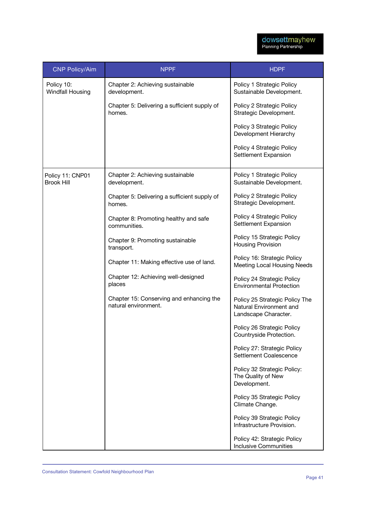| <b>CNP Policy/Aim</b>                 | <b>NPPF</b>                                                      | <b>HDPF</b>                                                                       |
|---------------------------------------|------------------------------------------------------------------|-----------------------------------------------------------------------------------|
| Policy 10:<br><b>Windfall Housing</b> | Chapter 2: Achieving sustainable<br>development.                 | Policy 1 Strategic Policy<br>Sustainable Development.                             |
|                                       | Chapter 5: Delivering a sufficient supply of<br>homes.           | Policy 2 Strategic Policy<br>Strategic Development.                               |
|                                       |                                                                  | Policy 3 Strategic Policy<br>Development Hierarchy                                |
|                                       |                                                                  | Policy 4 Strategic Policy<br>Settlement Expansion                                 |
| Policy 11: CNP01<br><b>Brook Hill</b> | Chapter 2: Achieving sustainable<br>development.                 | Policy 1 Strategic Policy<br>Sustainable Development.                             |
|                                       | Chapter 5: Delivering a sufficient supply of<br>homes.           | Policy 2 Strategic Policy<br>Strategic Development.                               |
|                                       | Chapter 8: Promoting healthy and safe<br>communities.            | Policy 4 Strategic Policy<br>Settlement Expansion                                 |
|                                       | Chapter 9: Promoting sustainable<br>transport.                   | Policy 15 Strategic Policy<br><b>Housing Provision</b>                            |
|                                       | Chapter 11: Making effective use of land.                        | Policy 16: Strategic Policy<br>Meeting Local Housing Needs                        |
|                                       | Chapter 12: Achieving well-designed<br>places                    | Policy 24 Strategic Policy<br><b>Environmental Protection</b>                     |
|                                       | Chapter 15: Conserving and enhancing the<br>natural environment. | Policy 25 Strategic Policy The<br>Natural Environment and<br>Landscape Character. |
|                                       |                                                                  | Policy 26 Strategic Policy<br>Countryside Protection.                             |
|                                       |                                                                  | Policy 27: Strategic Policy<br>Settlement Coalescence                             |
|                                       |                                                                  | Policy 32 Strategic Policy:<br>The Quality of New<br>Development.                 |
|                                       |                                                                  | Policy 35 Strategic Policy<br>Climate Change.                                     |
|                                       |                                                                  | Policy 39 Strategic Policy<br>Infrastructure Provision.                           |
|                                       |                                                                  | Policy 42: Strategic Policy<br><b>Inclusive Communities</b>                       |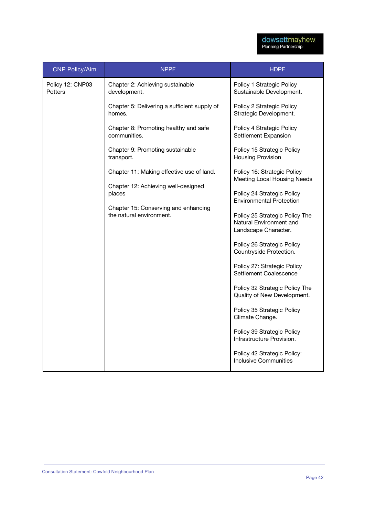| <b>CNP Policy/Aim</b>              | <b>NPPF</b>                                                      | <b>HDPF</b>                                                                       |
|------------------------------------|------------------------------------------------------------------|-----------------------------------------------------------------------------------|
| Policy 12: CNP03<br><b>Potters</b> | Chapter 2: Achieving sustainable<br>development.                 | Policy 1 Strategic Policy<br>Sustainable Development.                             |
|                                    | Chapter 5: Delivering a sufficient supply of<br>homes.           | Policy 2 Strategic Policy<br>Strategic Development.                               |
|                                    | Chapter 8: Promoting healthy and safe<br>communities.            | Policy 4 Strategic Policy<br>Settlement Expansion                                 |
|                                    | Chapter 9: Promoting sustainable<br>transport.                   | Policy 15 Strategic Policy<br><b>Housing Provision</b>                            |
|                                    | Chapter 11: Making effective use of land.                        | Policy 16: Strategic Policy<br>Meeting Local Housing Needs                        |
|                                    | Chapter 12: Achieving well-designed<br>places                    | Policy 24 Strategic Policy<br><b>Environmental Protection</b>                     |
|                                    | Chapter 15: Conserving and enhancing<br>the natural environment. | Policy 25 Strategic Policy The<br>Natural Environment and<br>Landscape Character. |
|                                    |                                                                  | Policy 26 Strategic Policy<br>Countryside Protection.                             |
|                                    |                                                                  | Policy 27: Strategic Policy<br>Settlement Coalescence                             |
|                                    |                                                                  | Policy 32 Strategic Policy The<br>Quality of New Development.                     |
|                                    |                                                                  | Policy 35 Strategic Policy<br>Climate Change.                                     |
|                                    |                                                                  | Policy 39 Strategic Policy<br>Infrastructure Provision.                           |
|                                    |                                                                  | Policy 42 Strategic Policy:<br><b>Inclusive Communities</b>                       |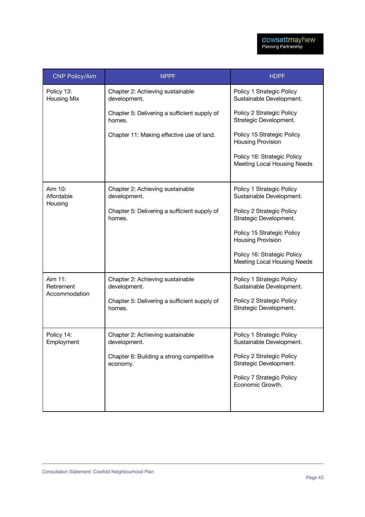| <b>CNP Policy/Aim</b>            | <b>NPPF</b>                                            | <b>HDPF</b>                                                       |
|----------------------------------|--------------------------------------------------------|-------------------------------------------------------------------|
| Policy 13:<br><b>Housing Mix</b> | Chapter 2: Achieving sustainable<br>development.       | Policy 1 Strategic Policy<br>Sustainable Development.             |
|                                  | Chapter 5: Delivering a sufficient supply of<br>homes. | Policy 2 Strategic Policy<br>Strategic Development.               |
|                                  | Chapter 11: Making effective use of land.              | Policy 15 Strategic Policy<br><b>Housing Provision</b>            |
|                                  |                                                        | Policy 16: Strategic Policy<br><b>Meeting Local Housing Needs</b> |
| Aim 10:<br>Affordable            | Chapter 2: Achieving sustainable<br>development.       | Policy 1 Strategic Policy<br>Sustainable Development.             |
| Housing                          | Chapter 5: Delivering a sufficient supply of<br>homes. | Policy 2 Strategic Policy<br>Strategic Development.               |
|                                  |                                                        | Policy 15 Strategic Policy<br><b>Housing Provision</b>            |
|                                  |                                                        | Policy 16: Strategic Policy<br><b>Meeting Local Housing Needs</b> |
| Aim 11:<br>Retirement            | Chapter 2: Achieving sustainable<br>development.       | Policy 1 Strategic Policy<br>Sustainable Development.             |
| Accommodation                    | Chapter 5: Delivering a sufficient supply of<br>homes. | Policy 2 Strategic Policy<br>Strategic Development.               |
| Policy 14:<br>Employment         | Chapter 2: Achieving sustainable<br>development.       | Policy 1 Strategic Policy<br>Sustainable Development.             |
|                                  | Chapter 6: Building a strong competitive<br>economy.   | Policy 2 Strategic Policy<br>Strategic Development.               |
|                                  |                                                        | Policy 7 Strategic Policy<br>Economic Growth.                     |
|                                  |                                                        |                                                                   |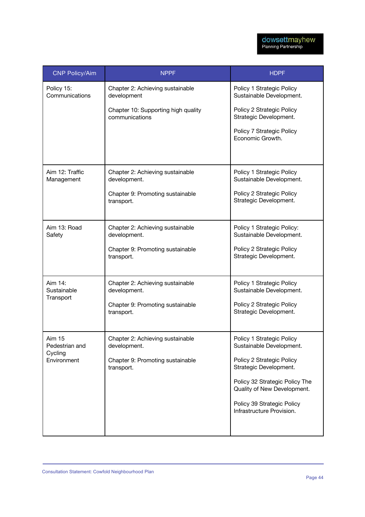| <b>CNP Policy/Aim</b>         | <b>NPPF</b>                                           | <b>HDPF</b>                                                   |
|-------------------------------|-------------------------------------------------------|---------------------------------------------------------------|
| Policy 15:<br>Communications  | Chapter 2: Achieving sustainable<br>development       | Policy 1 Strategic Policy<br>Sustainable Development.         |
|                               | Chapter 10: Supporting high quality<br>communications | Policy 2 Strategic Policy<br>Strategic Development.           |
|                               |                                                       | Policy 7 Strategic Policy<br>Economic Growth.                 |
| Aim 12: Traffic<br>Management | Chapter 2: Achieving sustainable<br>development.      | Policy 1 Strategic Policy<br>Sustainable Development.         |
|                               | Chapter 9: Promoting sustainable<br>transport.        | Policy 2 Strategic Policy<br>Strategic Development.           |
| Aim 13: Road<br>Safety        | Chapter 2: Achieving sustainable<br>development.      | Policy 1 Strategic Policy:<br>Sustainable Development.        |
|                               | Chapter 9: Promoting sustainable<br>transport.        | Policy 2 Strategic Policy<br>Strategic Development.           |
| Aim 14:<br>Sustainable        | Chapter 2: Achieving sustainable<br>development.      | Policy 1 Strategic Policy<br>Sustainable Development.         |
| Transport                     | Chapter 9: Promoting sustainable<br>transport.        | Policy 2 Strategic Policy<br>Strategic Development.           |
| Aim 15<br>Pedestrian and      | Chapter 2: Achieving sustainable<br>development.      | Policy 1 Strategic Policy<br>Sustainable Development.         |
| Cycling<br>Environment        | Chapter 9: Promoting sustainable<br>transport.        | Policy 2 Strategic Policy<br>Strategic Development.           |
|                               |                                                       | Policy 32 Strategic Policy The<br>Quality of New Development. |
|                               |                                                       | Policy 39 Strategic Policy<br>Infrastructure Provision.       |
|                               |                                                       |                                                               |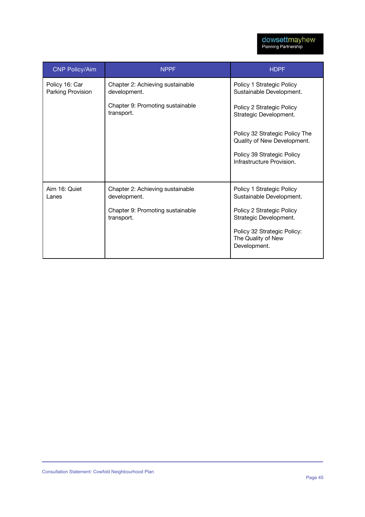| <b>CNP Policy/Aim</b>               | <b>NPPF</b>                                      | <b>HDPF</b>                                                       |
|-------------------------------------|--------------------------------------------------|-------------------------------------------------------------------|
| Policy 16: Car<br>Parking Provision | Chapter 2: Achieving sustainable<br>development. | Policy 1 Strategic Policy<br>Sustainable Development.             |
|                                     | Chapter 9: Promoting sustainable<br>transport.   | Policy 2 Strategic Policy<br>Strategic Development.               |
|                                     |                                                  | Policy 32 Strategic Policy The<br>Quality of New Development.     |
|                                     |                                                  | Policy 39 Strategic Policy<br>Infrastructure Provision.           |
| Aim 16: Quiet                       | Chapter 2: Achieving sustainable                 | Policy 1 Strategic Policy                                         |
| Lanes                               | development.                                     | Sustainable Development.                                          |
|                                     | Chapter 9: Promoting sustainable<br>transport.   | Policy 2 Strategic Policy<br>Strategic Development.               |
|                                     |                                                  | Policy 32 Strategic Policy:<br>The Quality of New<br>Development. |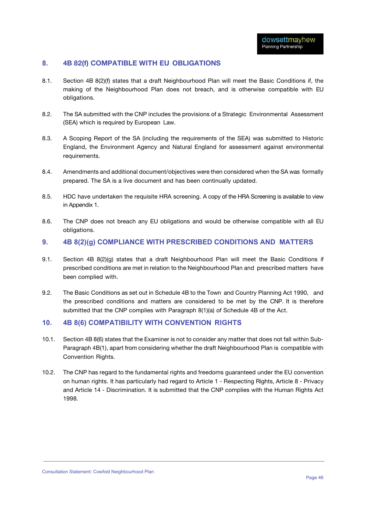#### **8. 4B 82(f) COMPATIBLE WITH EU OBLIGATIONS**

- 8.1. Section 4B 8(2)(f) states that a draft Neighbourhood Plan will meet the Basic Conditions if, the making of the Neighbourhood Plan does not breach, and is otherwise compatible with EU obligations.
- 8.2. The SA submitted with the CNP includes the provisions of a Strategic Environmental Assessment (SEA) which is required by European Law.
- 8.3. A Scoping Report of the SA (including the requirements of the SEA) was submitted to Historic England, the Environment Agency and Natural England for assessment against environmental requirements.
- 8.4. Amendments and additional document/objectives were then considered when the SA was formally prepared. The SA is a live document and has been continually updated.
- 8.5. HDC have undertaken the requisite HRA screening. A copy of the HRA Screening is available to view in Appendix 1.
- 8.6. The CNP does not breach any EU obligations and would be otherwise compatible with all EU obligations.

#### **9. 4B 8(2)(g) COMPLIANCE WITH PRESCRIBED CONDITIONS AND MATTERS**

- 9.1. Section 4B 8(2)(g) states that a draft Neighbourhood Plan will meet the Basic Conditions if prescribed conditions are met in relation to the Neighbourhood Plan and prescribed matters have been complied with.
- 9.2. The Basic Conditions as set out in Schedule 4B to the Town and Country Planning Act 1990, and the prescribed conditions and matters are considered to be met by the CNP. It is therefore submitted that the CNP complies with Paragraph 8(1)(a) of Schedule 4B of the Act.

#### **10. 4B 8(6) COMPATIBILITY WITH CONVENTION RIGHTS**

- 10.1. Section 4B 8(6) states that the Examiner is not to consider any matter that does not fall within Sub-Paragraph 4B(1), apart from considering whether the draft Neighbourhood Plan is compatible with Convention Rights.
- 10.2. The CNP has regard to the fundamental rights and freedoms guaranteed under the EU convention on human rights. It has particularly had regard to Article 1 - Respecting Rights, Article 8 - Privacy and Article 14 - Discrimination. It is submitted that the CNP complies with the Human Rights Act 1998.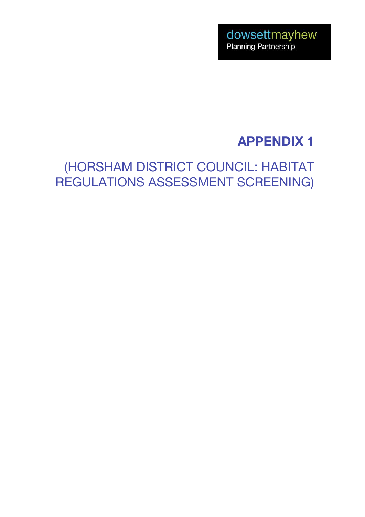## **APPENDIX 1**

## (HORSHAM DISTRICT COUNCIL: HABITAT REGULATIONS ASSESSMENT SCREENING)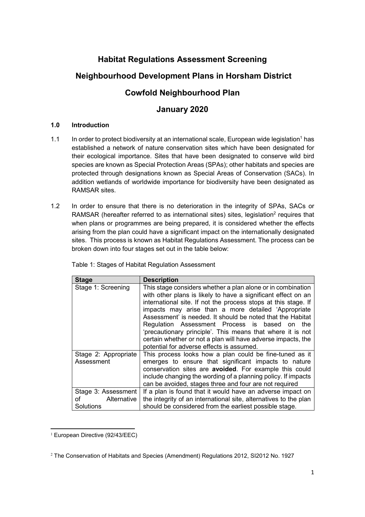## **Habitat Regulations Assessment Screening**

### **Neighbourhood Development Plans in Horsham District**

### **Cowfold Neighbourhood Plan**

### **January 2020**

#### **1.0 Introduction**

- 1.1 In order to protect biodiversity at an international scale, European wide legislation<sup>1</sup> has established a network of nature conservation sites which have been designated for their ecological importance. Sites that have been designated to conserve wild bird species are known as Special Protection Areas (SPAs); other habitats and species are protected through designations known as Special Areas of Conservation (SACs). In addition wetlands of worldwide importance for biodiversity have been designated as RAMSAR sites.
- 1.2 In order to ensure that there is no deterioration in the integrity of SPAs, SACs or RAMSAR (hereafter referred to as international sites) sites, legislation<sup>2</sup> requires that when plans or programmes are being prepared, it is considered whether the effects arising from the plan could have a significant impact on the internationally designated sites. This process is known as Habitat Regulations Assessment. The process can be broken down into four stages set out in the table below:

| <b>Stage</b>                                       | <b>Description</b>                                                                                                                                                                                                                                                                                                                                                                                                                                                                                                                                    |
|----------------------------------------------------|-------------------------------------------------------------------------------------------------------------------------------------------------------------------------------------------------------------------------------------------------------------------------------------------------------------------------------------------------------------------------------------------------------------------------------------------------------------------------------------------------------------------------------------------------------|
| Stage 1: Screening                                 | This stage considers whether a plan alone or in combination<br>with other plans is likely to have a significant effect on an<br>international site. If not the process stops at this stage. If<br>impacts may arise than a more detailed 'Appropriate<br>Assessment' is needed. It should be noted that the Habitat<br>Regulation Assessment Process is based<br>the<br>on<br>'precautionary principle'. This means that where it is not<br>certain whether or not a plan will have adverse impacts, the<br>potential for adverse effects is assumed. |
| Stage 2: Appropriate<br>Assessment                 | This process looks how a plan could be fine-tuned as it<br>emerges to ensure that significant impacts to nature<br>conservation sites are avoided. For example this could<br>include changing the wording of a planning policy. If impacts<br>can be avoided, stages three and four are not required                                                                                                                                                                                                                                                  |
| Stage 3: Assessment<br>of Alternative<br>Solutions | If a plan is found that it would have an adverse impact on<br>the integrity of an international site, alternatives to the plan<br>should be considered from the earliest possible stage.                                                                                                                                                                                                                                                                                                                                                              |

Table 1: Stages of Habitat Regulation Assessment

 $\overline{a}$ <sup>1</sup> European Directive (92/43/EEC)

<sup>2</sup> The Conservation of Habitats and Species (Amendment) Regulations 2012, SI2012 No. 1927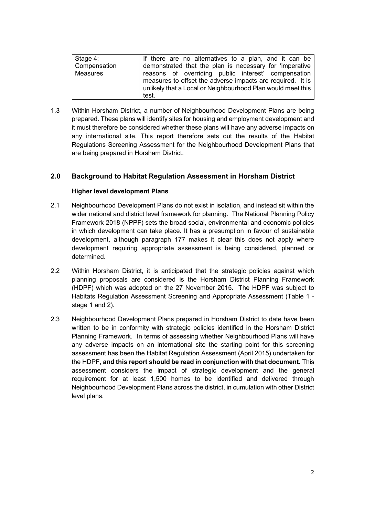| Stage 4:     | If there are no alternatives to a plan, and it can be       |
|--------------|-------------------------------------------------------------|
| Compensation | demonstrated that the plan is necessary for 'imperative     |
| Measures     | reasons of overriding public interest' compensation         |
|              | measures to offset the adverse impacts are required. It is  |
|              | unlikely that a Local or Neighbourhood Plan would meet this |
|              | test.                                                       |

1.3 Within Horsham District, a number of Neighbourhood Development Plans are being prepared. These plans will identify sites for housing and employment development and it must therefore be considered whether these plans will have any adverse impacts on any international site. This report therefore sets out the results of the Habitat Regulations Screening Assessment for the Neighbourhood Development Plans that are being prepared in Horsham District.

#### **2.0 Background to Habitat Regulation Assessment in Horsham District**

#### **Higher level development Plans**

- 2.1 Neighbourhood Development Plans do not exist in isolation, and instead sit within the wider national and district level framework for planning. The National Planning Policy Framework 2018 (NPPF) sets the broad social, environmental and economic policies in which development can take place. It has a presumption in favour of sustainable development, although paragraph 177 makes it clear this does not apply where development requiring appropriate assessment is being considered, planned or determined.
- 2.2 Within Horsham District, it is anticipated that the strategic policies against which planning proposals are considered is the Horsham District Planning Framework (HDPF) which was adopted on the 27 November 2015. The HDPF was subject to Habitats Regulation Assessment Screening and Appropriate Assessment (Table 1 stage 1 and 2).
- 2.3 Neighbourhood Development Plans prepared in Horsham District to date have been written to be in conformity with strategic policies identified in the Horsham District Planning Framework. In terms of assessing whether Neighbourhood Plans will have any adverse impacts on an international site the starting point for this screening assessment has been the Habitat Regulation Assessment (April 2015) undertaken for the HDPF, **and this report should be read in conjunction with that document.** This assessment considers the impact of strategic development and the general requirement for at least 1,500 homes to be identified and delivered through Neighbourhood Development Plans across the district, in cumulation with other District level plans.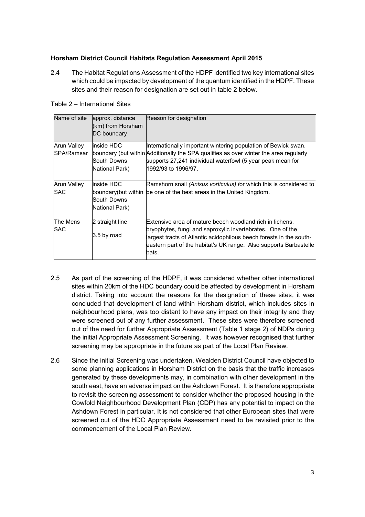#### **Horsham District Council Habitats Regulation Assessment April 2015**

2.4 The Habitat Regulations Assessment of the HDPF identified two key international sites which could be impacted by development of the quantum identified in the HDPF. These sites and their reason for designation are set out in table 2 below.

| Name of site                     | approx. distance<br>(km) from Horsham<br>DC boundary | Reason for designation                                                                                                                                                      |
|----------------------------------|------------------------------------------------------|-----------------------------------------------------------------------------------------------------------------------------------------------------------------------------|
| Arun Valley                      | inside HDC                                           | Internationally important wintering population of Bewick swan.                                                                                                              |
| SPA/Ramsar                       | South Downs<br>National Park)                        | boundary (but within Additionally the SPA qualifies as over winter the area regularly<br>supports 27,241 individual waterfowl (5 year peak mean for<br>l1992/93 to 1996/97. |
| <b>Arun Valley</b><br><b>SAC</b> | inside HDC                                           | Ramshorn snail (Anisus vorticulus) for which this is considered to<br>boundary(but within be one of the best areas in the United Kingdom.                                   |
|                                  | South Downs<br>National Park)                        |                                                                                                                                                                             |
| The Mens<br><b>SAC</b>           | 2 straight line                                      | Extensive area of mature beech woodland rich in lichens,<br>bryophytes, fungi and saproxylic invertebrates. One of the                                                      |
|                                  | 3.5 by road                                          | largest tracts of Atlantic acidophilous beech forests in the south-<br>eastern part of the habitat's UK range. Also supports Barbastelle<br>bats.                           |

- 2.5 As part of the screening of the HDPF, it was considered whether other international sites within 20km of the HDC boundary could be affected by development in Horsham district. Taking into account the reasons for the designation of these sites, it was concluded that development of land within Horsham district, which includes sites in neighbourhood plans, was too distant to have any impact on their integrity and they were screened out of any further assessment. These sites were therefore screened out of the need for further Appropriate Assessment (Table 1 stage 2) of NDPs during the initial Appropriate Assessment Screening. It was however recognised that further screening may be appropriate in the future as part of the Local Plan Review.
- 2.6 Since the initial Screening was undertaken, Wealden District Council have objected to some planning applications in Horsham District on the basis that the traffic increases generated by these developments may, in combination with other development in the south east, have an adverse impact on the Ashdown Forest. It is therefore appropriate to revisit the screening assessment to consider whether the proposed housing in the Cowfold Neighbourhood Development Plan (CDP) has any potential to impact on the Ashdown Forest in particular. It is not considered that other European sites that were screened out of the HDC Appropriate Assessment need to be revisited prior to the commencement of the Local Plan Review.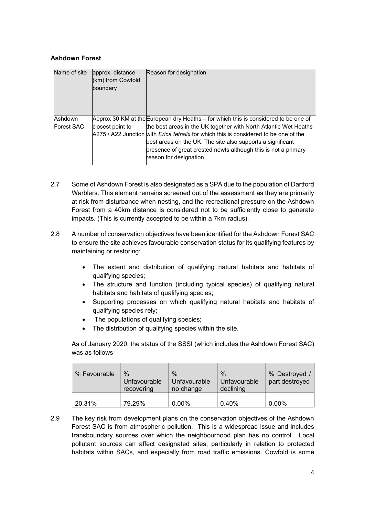#### **Ashdown Forest**

| Name of site      | approx. distance<br>(km) from Cowfold<br>boundary | Reason for designation                                                                                                                                                                                                                                                                                                     |
|-------------------|---------------------------------------------------|----------------------------------------------------------------------------------------------------------------------------------------------------------------------------------------------------------------------------------------------------------------------------------------------------------------------------|
| Ashdown           |                                                   | Approx 30 KM at the European dry Heaths – for which this is considered to be one of                                                                                                                                                                                                                                        |
| <b>Forest SAC</b> | closest point to                                  | the best areas in the UK together with North Atlantic Wet Heaths<br>A275 / A22 Junction with <i>Erica tetralix</i> for which this is considered to be one of the<br>best areas on the UK. The site also supports a significant<br>presence of great crested newts although this is not a primary<br>reason for designation |

- 2.7 Some of Ashdown Forest is also designated as a SPA due to the population of Dartford Warblers. This element remains screened out of the assessment as they are primarily at risk from disturbance when nesting, and the recreational pressure on the Ashdown Forest from a 40km distance is considered not to be sufficiently close to generate impacts. (This is currently accepted to be within a 7km radius).
- 2.8 A number of conservation objectives have been identified for the Ashdown Forest SAC to ensure the site achieves favourable conservation status for its qualifying features by maintaining or restoring:
	- The extent and distribution of qualifying natural habitats and habitats of qualifying species;
	- The structure and function (including typical species) of qualifying natural habitats and habitats of qualifying species;
	- Supporting processes on which qualifying natural habitats and habitats of qualifying species rely;
	- The populations of qualifying species;
	- The distribution of qualifying species within the site.

As of January 2020, the status of the SSSI (which includes the Ashdown Forest SAC) was as follows

| % Favourable | $\%$<br>Unfavourable<br>recovering | $\%$<br>Unfavourable<br>no change | $\%$<br>Unfavourable<br>declining | % Destroyed /<br>part destroyed |
|--------------|------------------------------------|-----------------------------------|-----------------------------------|---------------------------------|
| 20.31%       | 79.29%                             | $0.00\%$                          | 0.40%                             | $0.00\%$                        |

2.9 The key risk from development plans on the conservation objectives of the Ashdown Forest SAC is from atmospheric pollution. This is a widespread issue and includes transboundary sources over which the neighbourhood plan has no control. Local pollutant sources can affect designated sites, particularly in relation to protected habitats within SACs, and especially from road traffic emissions. Cowfold is some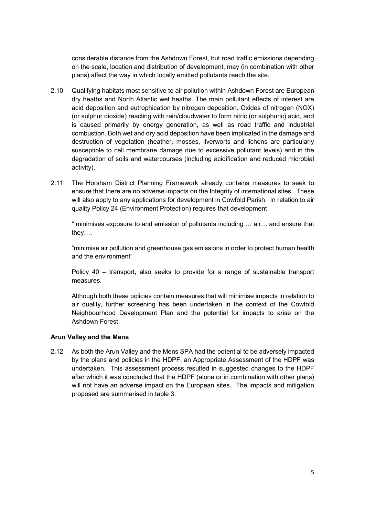considerable distance from the Ashdown Forest, but road traffic emissions depending on the scale, location and distribution of development, may (in combination with other plans) affect the way in which locally emitted pollutants reach the site.

- 2.10 Qualifying habitats most sensitive to air pollution within Ashdown Forest are European dry heaths and North Atlantic wet heaths. The main pollutant effects of interest are acid deposition and eutrophication by nitrogen deposition. Oxides of nitrogen (NOX) (or sulphur dioxide) reacting with rain/cloudwater to form nitric (or sulphuric) acid, and is caused primarily by energy generation, as well as road traffic and industrial combustion. Both wet and dry acid deposition have been implicated in the damage and destruction of vegetation (heather, mosses, liverworts and lichens are particularly susceptible to cell membrane damage due to excessive pollutant levels) and in the degradation of soils and watercourses (including acidification and reduced microbial activity).
- 2.11 The Horsham District Planning Framework already contains measures to seek to ensure that there are no adverse impacts on the Integrity of international sites. These will also apply to any applications for development in Cowfold Parish. In relation to air quality Policy 24 (Environment Protection) requires that development

" minimises exposure to and emission of pollutants including  $\ldots$  air $\ldots$  and ensure that  $they...$ 

"minimise air pollution and greenhouse gas emissions in order to protect human health and the environment"

Policy 40 - transport, also seeks to provide for a range of sustainable transport measures.

Although both these policies contain measures that will minimise impacts in relation to air quality, further screening has been undertaken in the context of the Cowfold Neighbourhood Development Plan and the potential for impacts to arise on the Ashdown Forest.

#### **Arun Valley and the Mens**

2.12 As both the Arun Valley and the Mens SPA had the potential to be adversely impacted by the plans and policies in the HDPF, an Appropriate Assessment of the HDPF was undertaken. This assessment process resulted in suggested changes to the HDPF after which it was concluded that the HDPF (alone or in combination with other plans) will not have an adverse impact on the European sites. The impacts and mitigation proposed are summarised in table 3.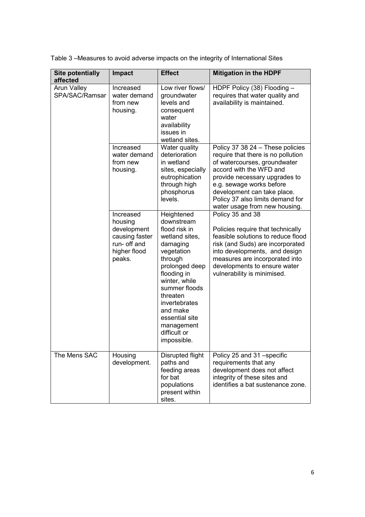Table 3-Measures to avoid adverse impacts on the integrity of International Sites

| <b>Site potentially</b><br>affected  | <b>Impact</b>                                                                                   | <b>Effect</b>                                                                                                                                                                                                                                                               | <b>Mitigation in the HDPF</b>                                                                                                                                                                                                                                                                      |
|--------------------------------------|-------------------------------------------------------------------------------------------------|-----------------------------------------------------------------------------------------------------------------------------------------------------------------------------------------------------------------------------------------------------------------------------|----------------------------------------------------------------------------------------------------------------------------------------------------------------------------------------------------------------------------------------------------------------------------------------------------|
| <b>Arun Valley</b><br>SPA/SAC/Ramsar | Increased<br>water demand<br>from new<br>housing.                                               | Low river flows/<br>groundwater<br>levels and<br>consequent<br>water<br>availability<br>issues in<br>wetland sites.                                                                                                                                                         | HDPF Policy (38) Flooding -<br>requires that water quality and<br>availability is maintained.                                                                                                                                                                                                      |
|                                      | Increased<br>water demand<br>from new<br>housing.                                               | Water quality<br>deterioration<br>in wetland<br>sites, especially<br>eutrophication<br>through high<br>phosphorus<br>levels.                                                                                                                                                | Policy 37 38 24 - These policies<br>require that there is no pollution<br>of watercourses, groundwater<br>accord with the WFD and<br>provide necessary upgrades to<br>e.g. sewage works before<br>development can take place.<br>Policy 37 also limits demand for<br>water usage from new housing. |
|                                      | Increased<br>housing<br>development<br>causing faster<br>run- off and<br>higher flood<br>peaks. | Heightened<br>downstream<br>flood risk in<br>wetland sites,<br>damaging<br>vegetation<br>through<br>prolonged deep<br>flooding in<br>winter, while<br>summer floods<br>threaten<br>invertebrates<br>and make<br>essential site<br>management<br>difficult or<br>impossible. | Policy 35 and 38<br>Policies require that technically<br>feasible solutions to reduce flood<br>risk (and Suds) are incorporated<br>into developments, and design<br>measures are incorporated into<br>developments to ensure water<br>vulnerability is minimised.                                  |
| The Mens SAC                         | Housing<br>development.                                                                         | Disrupted flight<br>paths and<br>feeding areas<br>for bat<br>populations<br>present within<br>sites.                                                                                                                                                                        | Policy 25 and 31 -specific<br>requirements that any<br>development does not affect<br>integrity of these sites and<br>identifies a bat sustenance zone.                                                                                                                                            |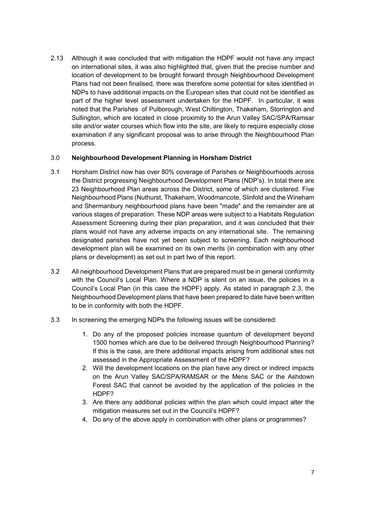2.13 Although it was concluded that with mitigation the HDPF would not have any impact on international sites, it was also highlighted that, given that the precise number and location of development to be brought forward through Neighbourhood Development Plans had not been finalised, there was therefore some potential for sites identified in NDPs to have additional impacts on the European sites that could not be identified as part of the higher level assessment undertaken for the HDPF. In particular, it was noted that the Parishes of Pulborough, West Chiltington, Thakeham, Storrington and Sullington, which are located in close proximity to the Arun Valley SAC/SPA/Ramsar site and/or water courses which flow into the site, are likely to require especially close examination if any significant proposal was to arise through the Neighbourhood Plan process.

#### 3.0 **Neighbourhood Development Planning in Horsham District**

- 3.1 Horsham District now has over 80% coverage of Parishes or Neighbourhoods across the District progressing Neighbourhood Development Plans (NDP's). In total there are 23 Neighbourhood Plan areas across the District, some of which are clustered. Five Neighbourhood Plans (Nuthurst, Thakeham, Woodmancote, Slinfold and the Wineham and Shermanbury neighbourhood plans have been "made" and the remainder are at various stages of preparation. These NDP areas were subject to a Habitats Regulation Assessment Screening during their plan preparation, and it was concluded that their plans would not have any adverse impacts on any international site. The remaining designated parishes have not yet been subject to screening. Each neighbourhood development plan will be examined on its own merits (in combination with any other plans or development) as set out in part two of this report.
- 3.2 All neighbourhood Development Plans that are prepared must be in general conformity with the Council's Local Plan. Where a NDP is silent on an issue, the policies in a Council's Local Plan (in this case the HDPF) apply. As stated in paragraph 2.3, the Neighbourhood Development plans that have been prepared to date have been written to be in conformity with both the HDPF.
- 3.3 In screening the emerging NDPs the following issues will be considered:
	- 1. Do any of the proposed policies increase quantum of development beyond 1500 homes which are due to be delivered through Neighbourhood Planning? If this is the case, are there additional impacts arising from additional sites not assessed in the Appropriate Assessment of the HDPF?
	- 2. Will the development locations on the plan have any direct or indirect impacts on the Arun Valley SAC/SPA/RAMSAR or the Mens SAC or the Ashdown Forest SAC that cannot be avoided by the application of the policies in the HDPF?
	- 3. Are there any additional policies within the plan which could impact alter the mitigation measures set out in the Council's HDPF?
	- 4. Do any of the above apply in combination with other plans or programmes?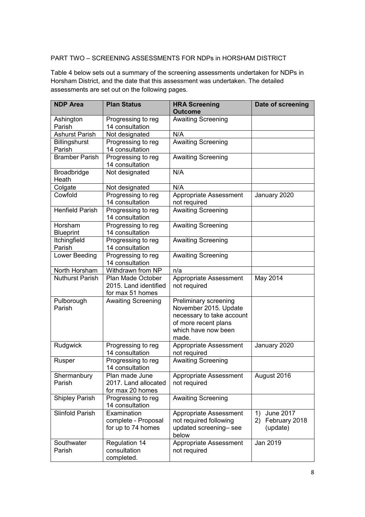### PART TWO - SCREENING ASSESSMENTS FOR NDPs in HORSHAM DISTRICT

Table 4 below sets out a summary of the screening assessments undertaken for NDPs in Horsham District, and the date that this assessment was undertaken. The detailed assessments are set out on the following pages.

| <b>NDP Area</b>             | <b>Plan Status</b>                                             | <b>HRA Screening</b><br><b>Outcome</b>                                                                                              | Date of screening                               |
|-----------------------------|----------------------------------------------------------------|-------------------------------------------------------------------------------------------------------------------------------------|-------------------------------------------------|
| Ashington<br>Parish         | Progressing to reg<br>14 consultation                          | <b>Awaiting Screening</b>                                                                                                           |                                                 |
| <b>Ashurst Parish</b>       | Not designated                                                 | N/A                                                                                                                                 |                                                 |
| Billingshurst               | Progressing to reg                                             | <b>Awaiting Screening</b>                                                                                                           |                                                 |
| Parish                      | 14 consultation                                                |                                                                                                                                     |                                                 |
| <b>Bramber Parish</b>       | Progressing to reg<br>14 consultation                          | <b>Awaiting Screening</b>                                                                                                           |                                                 |
| Broadbridge<br>Heath        | Not designated                                                 | N/A                                                                                                                                 |                                                 |
| Colgate                     | Not designated                                                 | N/A                                                                                                                                 |                                                 |
| Cowfold                     | Progressing to reg<br>14 consultation                          | Appropriate Assessment<br>not required                                                                                              | January 2020                                    |
| <b>Henfield Parish</b>      | Progressing to reg<br>14 consultation                          | <b>Awaiting Screening</b>                                                                                                           |                                                 |
| Horsham<br><b>Blueprint</b> | Progressing to reg<br>14 consultation                          | <b>Awaiting Screening</b>                                                                                                           |                                                 |
| Itchingfield<br>Parish      | Progressing to reg<br>14 consultation                          | <b>Awaiting Screening</b>                                                                                                           |                                                 |
| Lower Beeding               | Progressing to reg<br>14 consultation                          | <b>Awaiting Screening</b>                                                                                                           |                                                 |
| North Horsham               | Withdrawn from NP                                              | n/a                                                                                                                                 |                                                 |
| <b>Nuthurst Parish</b>      | Plan Made October<br>2015. Land identified<br>for max 51 homes | Appropriate Assessment<br>not required                                                                                              | May 2014                                        |
| Pulborough<br>Parish        | <b>Awaiting Screening</b>                                      | Preliminary screening<br>November 2015. Update<br>necessary to take account<br>of more recent plans<br>which have now been<br>made. |                                                 |
| Rudgwick                    | Progressing to reg<br>14 consultation                          | Appropriate Assessment<br>not required                                                                                              | January 2020                                    |
| Rusper                      | Progressing to reg<br>14 consultation                          | <b>Awaiting Screening</b>                                                                                                           |                                                 |
| Shermanbury<br>Parish       | Plan made June<br>2017. Land allocated<br>for max 20 homes     | Appropriate Assessment   August 2016<br>not required                                                                                |                                                 |
| <b>Shipley Parish</b>       | Progressing to reg<br>14 consultation                          | <b>Awaiting Screening</b>                                                                                                           |                                                 |
| Slinfold Parish             | Examination<br>complete - Proposal<br>for up to 74 homes       | Appropriate Assessment<br>not required following<br>updated screening-see<br>below                                                  | June 2017<br>1)<br>2) February 2018<br>(update) |
| Southwater<br>Parish        | Regulation 14<br>consultation<br>completed.                    | Appropriate Assessment<br>not required                                                                                              | Jan 2019                                        |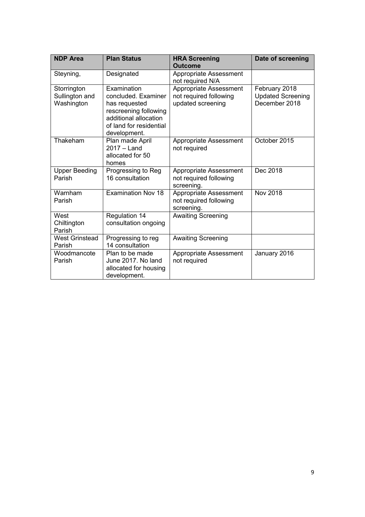| <b>NDP Area</b>                             | <b>Plan Status</b>                                                                                                                               | <b>HRA Screening</b><br><b>Outcome</b>                                | Date of screening                                          |
|---------------------------------------------|--------------------------------------------------------------------------------------------------------------------------------------------------|-----------------------------------------------------------------------|------------------------------------------------------------|
| Steyning,                                   | Designated                                                                                                                                       | Appropriate Assessment<br>not required N/A                            |                                                            |
| Storrington<br>Sullington and<br>Washington | Examination<br>concluded. Examiner<br>has requested<br>rescreening following<br>additional allocation<br>of land for residential<br>development. | Appropriate Assessment<br>not required following<br>updated screening | February 2018<br><b>Updated Screening</b><br>December 2018 |
| Thakeham                                    | Plan made April<br>$2017 -$ Land<br>allocated for 50<br>homes                                                                                    | Appropriate Assessment<br>not required                                | October 2015                                               |
| <b>Upper Beeding</b><br>Parish              | Progressing to Reg<br>16 consultation                                                                                                            | Appropriate Assessment<br>not required following<br>screening.        | Dec 2018                                                   |
| Warnham<br>Parish                           | <b>Examination Nov 18</b>                                                                                                                        | Appropriate Assessment<br>not required following<br>screening.        | <b>Nov 2018</b>                                            |
| West<br>Chiltington<br>Parish               | Regulation 14<br>consultation ongoing                                                                                                            | <b>Awaiting Screening</b>                                             |                                                            |
| <b>West Grinstead</b><br>Parish             | Progressing to reg<br>14 consultation                                                                                                            | <b>Awaiting Screening</b>                                             |                                                            |
| Woodmancote<br>Parish                       | Plan to be made<br>June 2017. No land<br>allocated for housing<br>development.                                                                   | Appropriate Assessment<br>not required                                | January 2016                                               |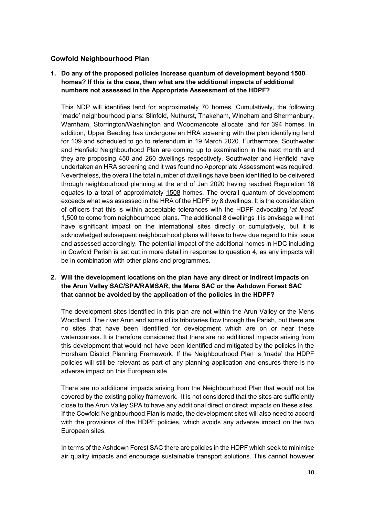#### **Cowfold Neighbourhood Plan**

#### **1. Do any of the proposed policies increase quantum of development beyond 1500 homes? If this is the case, then what are the additional impacts of additional numbers not assessed in the Appropriate Assessment of the HDPF?**

This NDP will identifies land for approximately 70 homes. Cumulatively, the following 'made' neighbourhood plans: Slinfold, Nuthurst, Thakeham, Wineham and Shermanbury, Warnham, Storrington/Washington and Woodmancote allocate land for 394 homes. In addition, Upper Beeding has undergone an HRA screening with the plan identifying land for 109 and scheduled to go to referendum in 19 March 2020. Furthermore, Southwater and Henfield Neighbourhood Plan are coming up to examination in the next month and they are proposing 450 and 260 dwellings respectively. Southwater and Henfield have undertaken an HRA screening and it was found no Appropriate Assessment was required. Nevertheless, the overall the total number of dwellings have been identified to be delivered through neighbourhood planning at the end of Jan 2020 having reached Regulation 16 equates to a total of approximately 1508 homes. The overall quantum of development exceeds what was assessed in the HRA of the HDPF by 8 dwellings. It is the consideration of officers that this is within acceptable tolerances with the HDPF advocating 'at least' 1,500 to come from neighbourhood plans. The additional 8 dwellings it is envisage will not have significant impact on the international sites directly or cumulatively, but it is acknowledged subsequent neighbourhood plans will have to have due regard to this issue and assessed accordingly. The potential impact of the additional homes in HDC including in Cowfold Parish is set out in more detail in response to question 4, as any impacts will be in combination with other plans and programmes.

#### **2. Will the development locations on the plan have any direct or indirect impacts on the Arun Valley SAC/SPA/RAMSAR, the Mens SAC or the Ashdown Forest SAC that cannot be avoided by the application of the policies in the HDPF?**

The development sites identified in this plan are not within the Arun Valley or the Mens Woodland. The river Arun and some of its tributaries flow through the Parish, but there are no sites that have been identified for development which are on or near these watercourses. It is therefore considered that there are no additional impacts arising from this development that would not have been identified and mitigated by the policies in the Horsham District Planning Framework. If the Neighbourhood Plan is 'made' the HDPF policies will still be relevant as part of any planning application and ensures there is no adverse impact on this European site.

There are no additional impacts arising from the Neighbourhood Plan that would not be covered by the existing policy framework. It is not considered that the sites are sufficiently close to the Arun Valley SPA to have any additional direct or direct impacts on these sites. If the Cowfold Neighbourhood Plan is made, the development sites will also need to accord with the provisions of the HDPF policies, which avoids any adverse impact on the two European sites.

In terms of the Ashdown Forest SAC there are policies in the HDPF which seek to minimise air quality impacts and encourage sustainable transport solutions. This cannot however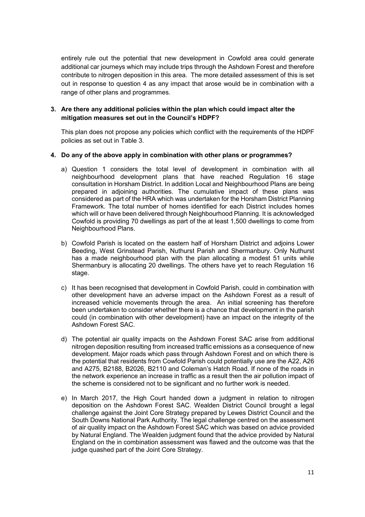entirely rule out the potential that new development in Cowfold area could generate additional car journeys which may include trips through the Ashdown Forest and therefore contribute to nitrogen deposition in this area. The more detailed assessment of this is set out in response to question 4 as any impact that arose would be in combination with a range of other plans and programmes.

#### **3. Are there any additional policies within the plan which could impact alter the mitigation measures set out in the Council's HDPF?**

This plan does not propose any policies which conflict with the requirements of the HDPF policies as set out in Table 3.

#### **4. Do any of the above apply in combination with other plans or programmes?**

- a) Question 1 considers the total level of development in combination with all neighbourhood development plans that have reached Regulation 16 stage consultation in Horsham District. In addition Local and Neighbourhood Plans are being prepared in adjoining authorities. The cumulative impact of these plans was considered as part of the HRA which was undertaken for the Horsham District Planning Framework. The total number of homes identified for each District includes homes which will or have been delivered through Neighbourhood Planning. It is acknowledged Cowfold is providing 70 dwellings as part of the at least 1,500 dwellings to come from Neighbourhood Plans.
- b) Cowfold Parish is located on the eastern half of Horsham District and adjoins Lower Beeding, West Grinstead Parish, Nuthurst Parish and Shermanbury. Only Nuthurst has a made neighbourhood plan with the plan allocating a modest 51 units while Shermanbury is allocating 20 dwellings. The others have yet to reach Regulation 16 stage.
- c) It has been recognised that development in Cowfold Parish, could in combination with other development have an adverse impact on the Ashdown Forest as a result of increased vehicle movements through the area. An initial screening has therefore been undertaken to consider whether there is a chance that development in the parish could (in combination with other development) have an impact on the integrity of the Ashdown Forest SAC.
- d) The potential air quality impacts on the Ashdown Forest SAC arise from additional nitrogen deposition resulting from increased traffic emissions as a consequence of new development. Major roads which pass through Ashdown Forest and on which there is the potential that residents from Cowfold Parish could potentially use are the A22, A26 and A275, B2188, B2026, B2110 and Coleman's Hatch Road. If none of the roads in the network experience an increase in traffic as a result then the air pollution impact of the scheme is considered not to be significant and no further work is needed.
- e) In March 2017, the High Court handed down a judgment in relation to nitrogen deposition on the Ashdown Forest SAC. Wealden District Council brought a legal challenge against the Joint Core Strategy prepared by Lewes District Council and the South Downs National Park Authority. The legal challenge centred on the assessment of air quality impact on the Ashdown Forest SAC which was based on advice provided by Natural England. The Wealden judgment found that the advice provided by Natural England on the in combination assessment was flawed and the outcome was that the judge quashed part of the Joint Core Strategy.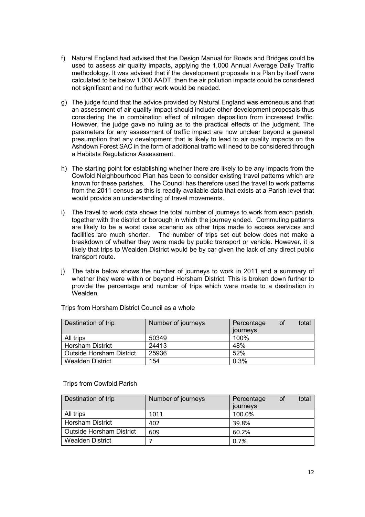- f) Natural England had advised that the Design Manual for Roads and Bridges could be used to assess air quality impacts, applying the 1,000 Annual Average Daily Traffic methodology. It was advised that if the development proposals in a Plan by itself were calculated to be below 1,000 AADT, then the air pollution impacts could be considered not significant and no further work would be needed.
- g) The judge found that the advice provided by Natural England was erroneous and that an assessment of air quality impact should include other development proposals thus considering the in combination effect of nitrogen deposition from increased traffic. However, the judge gave no ruling as to the practical effects of the judgment. The parameters for any assessment of traffic impact are now unclear beyond a general presumption that any development that is likely to lead to air quality impacts on the Ashdown Forest SAC in the form of additional traffic will need to be considered through a Habitats Regulations Assessment.
- h) The starting point for establishing whether there are likely to be any impacts from the Cowfold Neighbourhood Plan has been to consider existing travel patterns which are known for these parishes. The Council has therefore used the travel to work patterns from the 2011 census as this is readily available data that exists at a Parish level that would provide an understanding of travel movements.
- i) The travel to work data shows the total number of journeys to work from each parish, together with the district or borough in which the journey ended. Commuting patterns are likely to be a worst case scenario as other trips made to access services and facilities are much shorter. The number of trips set out below does not make a breakdown of whether they were made by public transport or vehicle. However, it is likely that trips to Wealden District would be by car given the lack of any direct public transport route.
- j) The table below shows the number of journeys to work in 2011 and a summary of whether they were within or beyond Horsham District. This is broken down further to provide the percentage and number of trips which were made to a destination in Wealden.

| Destination of trip             | Number of journeys | total<br>Percentage<br>0f<br>journeys |
|---------------------------------|--------------------|---------------------------------------|
| All trips                       | 50349              | 100%                                  |
| <b>Horsham District</b>         | 24413              | 48%                                   |
| <b>Outside Horsham District</b> | 25936              | 52%                                   |
| <b>Wealden District</b>         | 154                | 0.3%                                  |

Trips from Horsham District Council as a whole

#### Trips from Cowfold Parish

| Destination of trip             | Number of journeys | total<br>Percentage<br>οt<br>journeys |
|---------------------------------|--------------------|---------------------------------------|
| All trips                       | 1011               | 100.0%                                |
| <b>Horsham District</b>         | 402                | 39.8%                                 |
| <b>Outside Horsham District</b> | 609                | 60.2%                                 |
| <b>Wealden District</b>         |                    | 0.7%                                  |